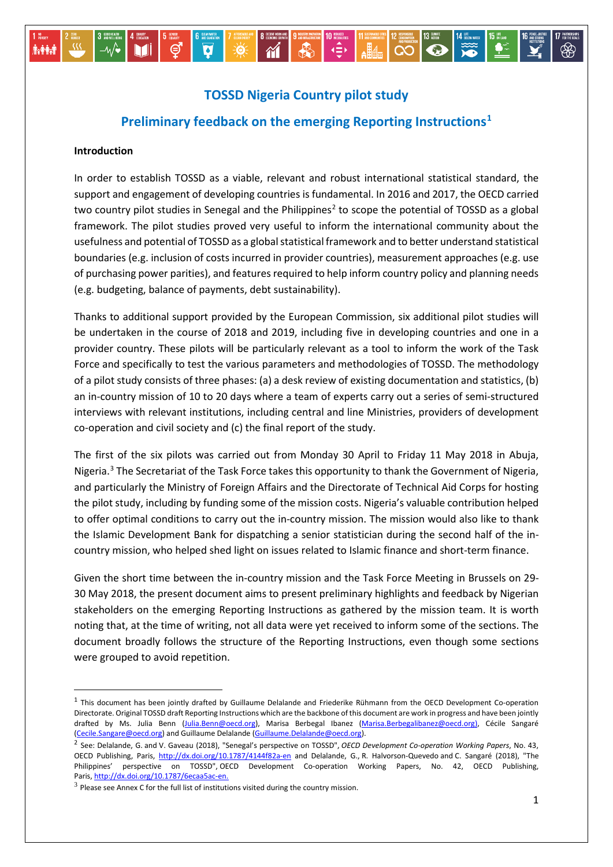#### $\begin{picture}(100,10) \put(15,10){\vector(0,1){10}} \put(15,10){\vector(0,1){10}} \put(15,10){\vector(0,1){10}} \put(15,10){\vector(0,1){10}} \put(15,10){\vector(0,1){10}} \put(15,10){\vector(0,1){10}} \put(15,10){\vector(0,1){10}} \put(15,10){\vector(0,1){10}} \put(15,10){\vector(0,1){10}} \put(15,10){\vector(0,1){10}} \put(15,10){\vector(0,1){10$  $\mathbf{\hat{M}}$  $\overline{\mathbf{v}}$  $\frac{1}{2}$ Mi ල් **İvêri**

# **TOSSD Nigeria Country pilot study**

# **Preliminary feedback on the emerging Reporting Instructions[1](#page-0-0)**

### **Introduction**

In order to establish TOSSD as a viable, relevant and robust international statistical standard, the support and engagement of developing countries is fundamental. In 2016 and 2017, the OECD carried two country pilot studies in Senegal and the Philippines<sup>[2](#page-0-1)</sup> to scope the potential of TOSSD as a global framework. The pilot studies proved very useful to inform the international community about the usefulness and potential of TOSSD as a global statistical framework and to better understand statistical boundaries (e.g. inclusion of costs incurred in provider countries), measurement approaches (e.g. use of purchasing power parities), and features required to help inform country policy and planning needs (e.g. budgeting, balance of payments, debt sustainability).

Thanks to additional support provided by the European Commission, six additional pilot studies will be undertaken in the course of 2018 and 2019, including five in developing countries and one in a provider country. These pilots will be particularly relevant as a tool to inform the work of the Task Force and specifically to test the various parameters and methodologies of TOSSD. The methodology of a pilot study consists of three phases: (a) a desk review of existing documentation and statistics, (b) an in-country mission of 10 to 20 days where a team of experts carry out a series of semi-structured interviews with relevant institutions, including central and line Ministries, providers of development co-operation and civil society and (c) the final report of the study.

The first of the six pilots was carried out from Monday 30 April to Friday 11 May 2018 in Abuja, Nigeria.<sup>[3](#page-0-2)</sup> The Secretariat of the Task Force takes this opportunity to thank the Government of Nigeria, and particularly the Ministry of Foreign Affairs and the Directorate of Technical Aid Corps for hosting the pilot study, including by funding some of the mission costs. Nigeria's valuable contribution helped to offer optimal conditions to carry out the in-country mission. The mission would also like to thank the Islamic Development Bank for dispatching a senior statistician during the second half of the incountry mission, who helped shed light on issues related to Islamic finance and short-term finance.

Given the short time between the in-country mission and the Task Force Meeting in Brussels on 29- 30 May 2018, the present document aims to present preliminary highlights and feedback by Nigerian stakeholders on the emerging Reporting Instructions as gathered by the mission team. It is worth noting that, at the time of writing, not all data were yet received to inform some of the sections. The document broadly follows the structure of the Reporting Instructions, even though some sections were grouped to avoid repetition.

<span id="page-0-0"></span><sup>&</sup>lt;sup>1</sup> This document has been jointly drafted by Guillaume Delalande and Friederike Rühmann from the OECD Development Co-operation Directorate. Original TOSSD draft Reporting Instructions which are the backbone of this document are work in progress and have been jointly drafted by Ms. Julia Benn [\(Julia.Benn@oecd.org\)](mailto:Julia.Benn@oecd.org), Marisa Berbegal Ibanez [\(Marisa.Berbegalibanez@oecd.org\),](mailto:Marisa.Berbegalibanez@oecd.org) Cécile Sangaré [\(Cecile.Sangare@oecd.org\)](mailto:Cecile.Sangare@oecd.org) and Guillaume Delalande [\(Guillaume.Delalande@oecd.org\)](mailto:Guillaume.Delalande@oecd.org).

<span id="page-0-1"></span><sup>2</sup> See: Delalande, G. and V. Gaveau (2018), "Senegal's perspective on TOSSD", *OECD Development Co-operation Working Papers*, No. 43, OECD Publishing, Paris,<http://dx.doi.org/10.1787/4144f82a-en> and Delalande, G., R. Halvorson-Quevedo and C. Sangaré (2018), "The Philippines' perspective on TOSSD", OECD Development Co-operation Working Papers, No. 42, OECD Publishing, Paris, [http://dx.doi.org/10.1787/6ecaa5ac-en.](http://dx.doi.org/10.1787/6ecaa5ac-en)

<span id="page-0-2"></span> $3$  Please see Annex C for the full list of institutions visited during the country mission.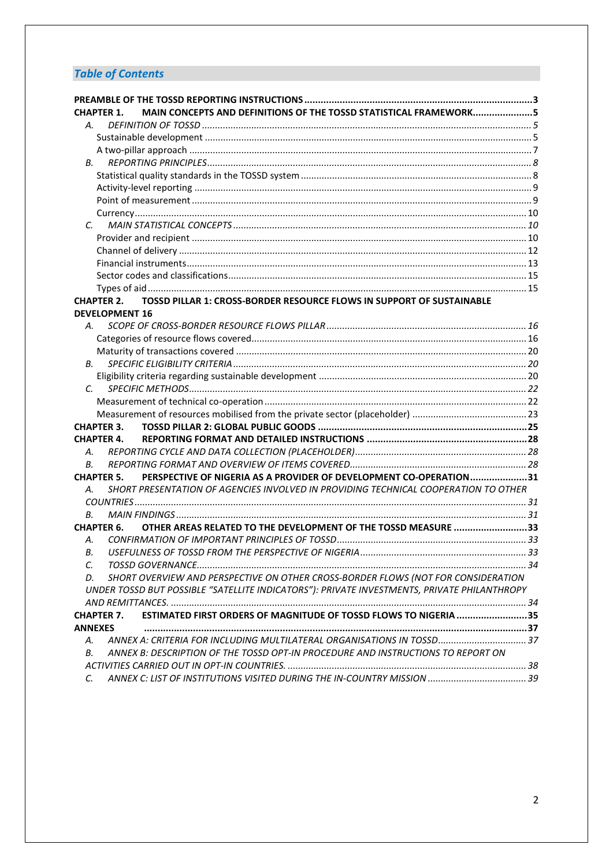# *Table of Contents*

| <b>CHAPTER 1.</b>                   | MAIN CONCEPTS AND DEFINITIONS OF THE TOSSD STATISTICAL FRAMEWORK5                           |  |
|-------------------------------------|---------------------------------------------------------------------------------------------|--|
| А.                                  |                                                                                             |  |
|                                     |                                                                                             |  |
|                                     |                                                                                             |  |
| В.                                  |                                                                                             |  |
|                                     |                                                                                             |  |
|                                     |                                                                                             |  |
|                                     |                                                                                             |  |
|                                     |                                                                                             |  |
| C.                                  |                                                                                             |  |
|                                     |                                                                                             |  |
|                                     |                                                                                             |  |
|                                     |                                                                                             |  |
|                                     |                                                                                             |  |
|                                     |                                                                                             |  |
| <b>CHAPTER 2.</b>                   | TOSSD PILLAR 1: CROSS-BORDER RESOURCE FLOWS IN SUPPORT OF SUSTAINABLE                       |  |
|                                     | <b>DEVELOPMENT 16</b>                                                                       |  |
| А.                                  |                                                                                             |  |
|                                     |                                                                                             |  |
|                                     |                                                                                             |  |
| В.                                  |                                                                                             |  |
|                                     |                                                                                             |  |
| C.                                  |                                                                                             |  |
|                                     |                                                                                             |  |
|                                     |                                                                                             |  |
| <b>CHAPTER 3.</b>                   |                                                                                             |  |
| <b>CHAPTER 4.</b>                   |                                                                                             |  |
| А.                                  |                                                                                             |  |
| В.                                  |                                                                                             |  |
| <b>CHAPTER 5.</b>                   | PERSPECTIVE OF NIGERIA AS A PROVIDER OF DEVELOPMENT CO-OPERATION31                          |  |
| А.                                  | SHORT PRESENTATION OF AGENCIES INVOLVED IN PROVIDING TECHNICAL COOPERATION TO OTHER         |  |
|                                     |                                                                                             |  |
| В.                                  |                                                                                             |  |
| <b>CHAPTER 6.</b>                   | OTHER AREAS RELATED TO THE DEVELOPMENT OF THE TOSSD MEASURE 33                              |  |
| А.                                  |                                                                                             |  |
| В.                                  |                                                                                             |  |
| C.                                  | SHORT OVERVIEW AND PERSPECTIVE ON OTHER CROSS-BORDER FLOWS (NOT FOR CONSIDERATION           |  |
| D.                                  | UNDER TOSSD BUT POSSIBLE "SATELLITE INDICATORS"): PRIVATE INVESTMENTS, PRIVATE PHILANTHROPY |  |
|                                     |                                                                                             |  |
|                                     | ESTIMATED FIRST ORDERS OF MAGNITUDE OF TOSSD FLOWS TO NIGERIA 35                            |  |
| <b>CHAPTER 7.</b><br><b>ANNEXES</b> |                                                                                             |  |
| А.                                  | ANNEX A: CRITERIA FOR INCLUDING MULTILATERAL ORGANISATIONS IN TOSSD 37                      |  |
| В.                                  | ANNEX B: DESCRIPTION OF THE TOSSD OPT-IN PROCEDURE AND INSTRUCTIONS TO REPORT ON            |  |
|                                     |                                                                                             |  |
| C.                                  |                                                                                             |  |
|                                     |                                                                                             |  |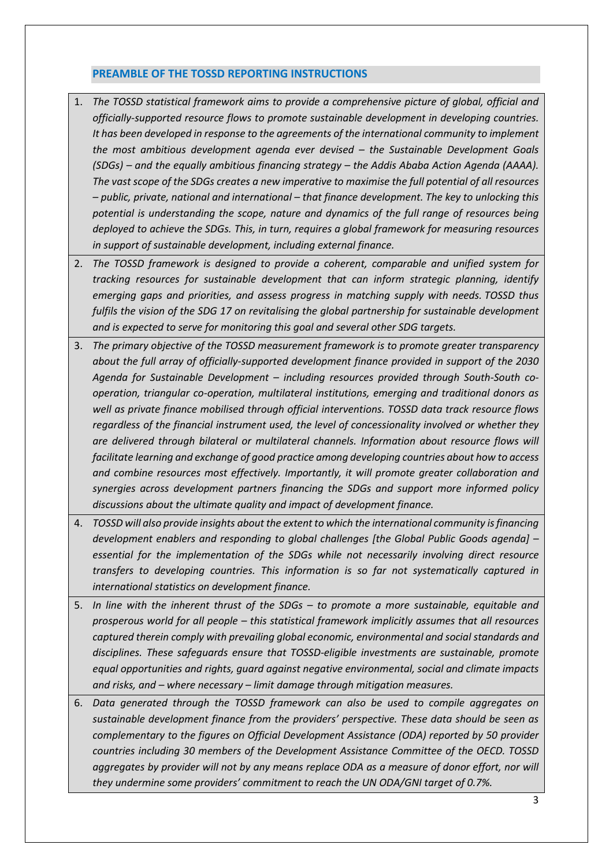### <span id="page-2-0"></span>**PREAMBLE OF THE TOSSD REPORTING INSTRUCTIONS**

- 1. *The TOSSD statistical framework aims to provide a comprehensive picture of global, official and officially-supported resource flows to promote sustainable development in developing countries. It has been developed in response to the agreements of the international community to implement the most ambitious development agenda ever devised – the Sustainable Development Goals (SDGs) – and the equally ambitious financing strategy – the Addis Ababa Action Agenda (AAAA). The vast scope of the SDGs creates a new imperative to maximise the full potential of all resources – public, private, national and international – that finance development. The key to unlocking this potential is understanding the scope, nature and dynamics of the full range of resources being deployed to achieve the SDGs. This, in turn, requires a global framework for measuring resources in support of sustainable development, including external finance.*
- 2. *The TOSSD framework is designed to provide a coherent, comparable and unified system for tracking resources for sustainable development that can inform strategic planning, identify emerging gaps and priorities, and assess progress in matching supply with needs. TOSSD thus fulfils the vision of the SDG 17 on revitalising the global partnership for sustainable development and is expected to serve for monitoring this goal and several other SDG targets.*
- 3. *The primary objective of the TOSSD measurement framework is to promote greater transparency about the full array of officially-supported development finance provided in support of the 2030 Agenda for Sustainable Development – including resources provided through South-South cooperation, triangular co-operation, multilateral institutions, emerging and traditional donors as well as private finance mobilised through official interventions. TOSSD data track resource flows regardless of the financial instrument used, the level of concessionality involved or whether they are delivered through bilateral or multilateral channels. Information about resource flows will facilitate learning and exchange of good practice among developing countries about how to access and combine resources most effectively. Importantly, it will promote greater collaboration and synergies across development partners financing the SDGs and support more informed policy discussions about the ultimate quality and impact of development finance.*
- 4. *TOSSD will also provide insights about the extent to which the international community is financing development enablers and responding to global challenges [the Global Public Goods agenda] – essential for the implementation of the SDGs while not necessarily involving direct resource transfers to developing countries. This information is so far not systematically captured in international statistics on development finance.*
- 5. *In line with the inherent thrust of the SDGs – to promote a more sustainable, equitable and prosperous world for all people – this statistical framework implicitly assumes that all resources captured therein comply with prevailing global economic, environmental and social standards and disciplines. These safeguards ensure that TOSSD-eligible investments are sustainable, promote equal opportunities and rights, guard against negative environmental, social and climate impacts and risks, and – where necessary – limit damage through mitigation measures.*
- 6. *Data generated through the TOSSD framework can also be used to compile aggregates on sustainable development finance from the providers' perspective. These data should be seen as complementary to the figures on Official Development Assistance (ODA) reported by 50 provider countries including 30 members of the Development Assistance Committee of the OECD. TOSSD*  aggregates by provider will not by any means replace ODA as a measure of donor effort, nor will *they undermine some providers' commitment to reach the UN ODA/GNI target of 0.7%.*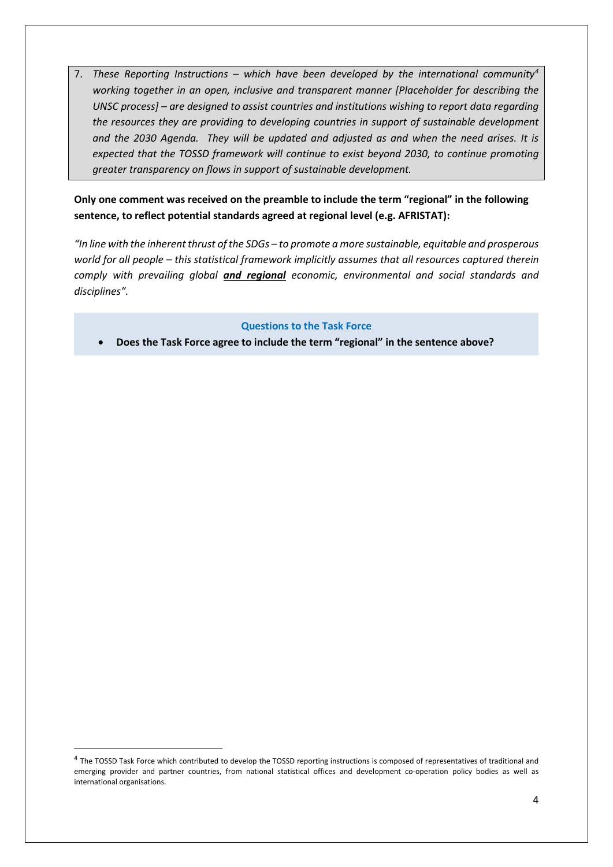7. *These Reporting Instructions – which have been developed by the international community[4](#page-3-0) working together in an open, inclusive and transparent manner [Placeholder for describing the UNSC process] – are designed to assist countries and institutions wishing to report data regarding the resources they are providing to developing countries in support of sustainable development and the 2030 Agenda. They will be updated and adjusted as and when the need arises. It is expected that the TOSSD framework will continue to exist beyond 2030, to continue promoting greater transparency on flows in support of sustainable development.*

### **Only one comment was received on the preamble to include the term "regional" in the following sentence, to reflect potential standards agreed at regional level (e.g. AFRISTAT):**

*"In line with the inherent thrust of the SDGs – to promote a more sustainable, equitable and prosperous world for all people – this statistical framework implicitly assumes that all resources captured therein comply with prevailing global and regional economic, environmental and social standards and disciplines".*

### **Questions to the Task Force**

• **Does the Task Force agree to include the term "regional" in the sentence above?**

<span id="page-3-0"></span><sup>&</sup>lt;sup>4</sup> The TOSSD Task Force which contributed to develop the TOSSD reporting instructions is composed of representatives of traditional and emerging provider and partner countries, from national statistical offices and development co-operation policy bodies as well as international organisations.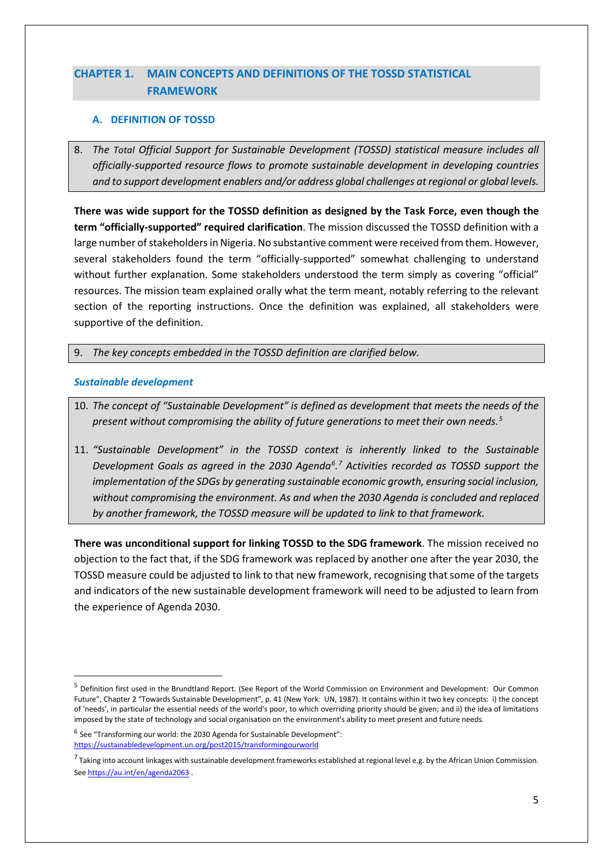# <span id="page-4-0"></span>**CHAPTER 1. MAIN CONCEPTS AND DEFINITIONS OF THE TOSSD STATISTICAL FRAMEWORK**

### <span id="page-4-1"></span>**A. DEFINITION OF TOSSD**

8. *The Total Official Support for Sustainable Development (TOSSD) statistical measure includes all officially-supported resource flows to promote sustainable development in developing countries and to support development enablers and/or address global challenges at regional or global levels.* 

**There was wide support for the TOSSD definition as designed by the Task Force, even though the term "officially-supported" required clarification**. The mission discussed the TOSSD definition with a large number of stakeholders in Nigeria. No substantive comment were received from them. However, several stakeholders found the term "officially-supported" somewhat challenging to understand without further explanation. Some stakeholders understood the term simply as covering "official" resources. The mission team explained orally what the term meant, notably referring to the relevant section of the reporting instructions. Once the definition was explained, all stakeholders were supportive of the definition.

9. *The key concepts embedded in the TOSSD definition are clarified below.*

### <span id="page-4-2"></span>*Sustainable development*

- 10. *The concept of "Sustainable Development" is defined as development that meets the needs of the present without compromising the ability of future generations to meet their own needs.[5](#page-4-3)*
- 11. *"Sustainable Development" in the TOSSD context is inherently linked to the Sustainable Development Goals as agreed in the 2030 Agenda[6](#page-4-4) . [7](#page-4-5) Activities recorded as TOSSD support the implementation of the SDGs by generating sustainable economic growth, ensuring social inclusion, without compromising the environment. As and when the 2030 Agenda is concluded and replaced by another framework, the TOSSD measure will be updated to link to that framework.*

**There was unconditional support for linking TOSSD to the SDG framework**. The mission received no objection to the fact that, if the SDG framework was replaced by another one after the year 2030, the TOSSD measure could be adjusted to link to that new framework, recognising that some of the targets and indicators of the new sustainable development framework will need to be adjusted to learn from the experience of Agenda 2030.

<span id="page-4-3"></span> <sup>5</sup> Definition first used in the Brundtland Report. (See Report of the World Commission on Environment and Development: Our Common Future", Chapter 2 "Towards Sustainable Development", p. 41 (New York: UN, 1987). It contains within it two key concepts: i) the concept of 'needs', in particular the essential needs of the world's poor, to which overriding priority should be given; and ii) the idea of limitations imposed by the state of technology and social organisation on the environment's ability to meet present and future needs.

<span id="page-4-4"></span> $6$  See "Transforming our world: the 2030 Agenda for Sustainable Development": <https://sustainabledevelopment.un.org/post2015/transformingourworld>

<span id="page-4-5"></span> $^7$  Taking into account linkages with sustainable development frameworks established at regional level e.g. by the African Union Commission. Se[e https://au.int/en/agenda2063](https://au.int/en/agenda2063) .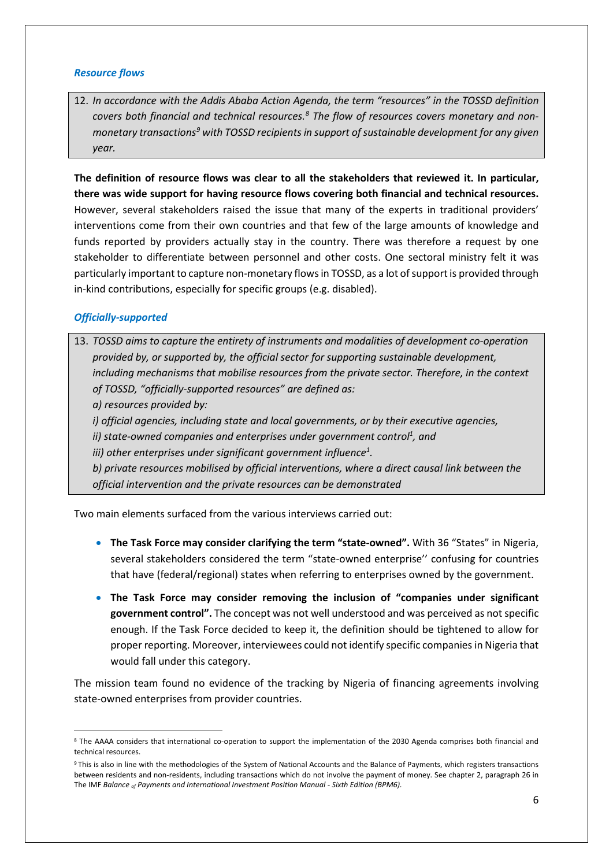### *Resource flows*

12. *In accordance with the Addis Ababa Action Agenda, the term "resources" in the TOSSD definition covers both financial and technical resources.[8](#page-5-0) The flow of resources covers monetary and nonmonetary transactions[9](#page-5-1) with TOSSD recipients in support of sustainable development for any given year.*

**The definition of resource flows was clear to all the stakeholders that reviewed it. In particular, there was wide support for having resource flows covering both financial and technical resources.**  However, several stakeholders raised the issue that many of the experts in traditional providers' interventions come from their own countries and that few of the large amounts of knowledge and funds reported by providers actually stay in the country. There was therefore a request by one stakeholder to differentiate between personnel and other costs. One sectoral ministry felt it was particularly important to capture non-monetary flows in TOSSD, as a lot of support is provided through in-kind contributions, especially for specific groups (e.g. disabled).

### *Officially-supported*

13. *TOSSD aims to capture the entirety of instruments and modalities of development co-operation provided by, or supported by, the official sector for supporting sustainable development, including mechanisms that mobilise resources from the private sector. Therefore, in the context of TOSSD, "officially-supported resources" are defined as: a) resources provided by: i) official agencies, including state and local governments, or by their executive agencies,*  ii) state-owned companies and enterprises under government control<sup>1</sup>, and iii) other enterprises under significant government influence<sup>1</sup>. *b) private resources mobilised by official interventions, where a direct causal link between the official intervention and the private resources can be demonstrated*

Two main elements surfaced from the various interviews carried out:

- **The Task Force may consider clarifying the term "state-owned".** With 36 "States" in Nigeria, several stakeholders considered the term "state-owned enterprise'' confusing for countries that have (federal/regional) states when referring to enterprises owned by the government.
- **The Task Force may consider removing the inclusion of "companies under significant government control".** The concept was not well understood and was perceived as not specific enough. If the Task Force decided to keep it, the definition should be tightened to allow for proper reporting. Moreover, interviewees could not identify specific companies in Nigeria that would fall under this category.

The mission team found no evidence of the tracking by Nigeria of financing agreements involving state-owned enterprises from provider countries.

<span id="page-5-0"></span><sup>8</sup> The AAAA considers that international co-operation to support the implementation of the 2030 Agenda comprises both financial and technical resources.

<span id="page-5-1"></span><sup>9</sup> This is also in line with the methodologies of the System of National Accounts and the Balance of Payments, which registers transactions between residents and non-residents, including transactions which do not involve the payment of money. See chapter 2, paragraph 26 in The IMF *Balance of Payments and International Investment Position Manual - Sixth Edition (BPM6).*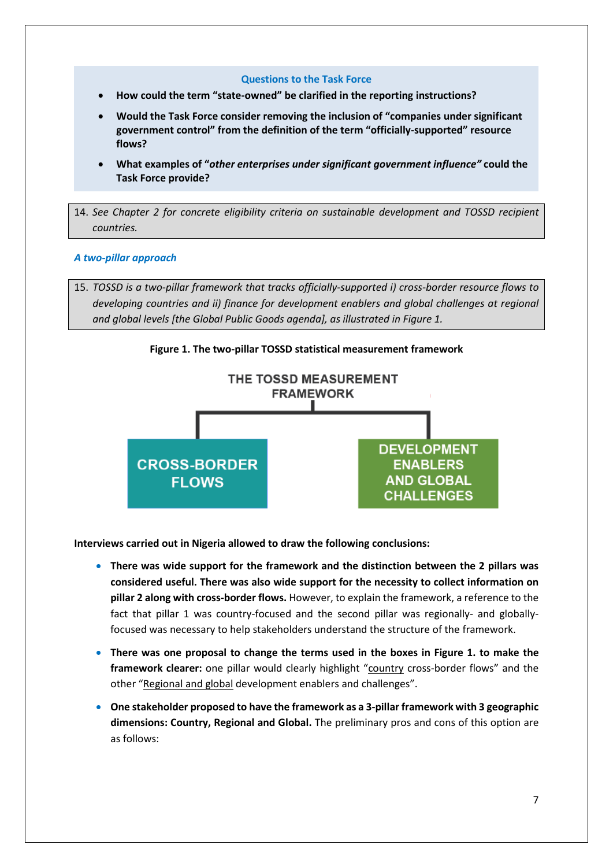#### **Questions to the Task Force**

- **How could the term "state-owned" be clarified in the reporting instructions?**
- **Would the Task Force consider removing the inclusion of "companies under significant government control" from the definition of the term "officially-supported" resource flows?**
- **What examples of "***other enterprises under significant government influence"* **could the Task Force provide?**

14. *See Chapter 2 for concrete eligibility criteria on sustainable development and TOSSD recipient countries.* 

#### <span id="page-6-0"></span>*A two-pillar approach*

15. *TOSSD is a two-pillar framework that tracks officially-supported i) cross-border resource flows to developing countries and ii) finance for development enablers and global challenges at regional and global levels [the Global Public Goods agenda], as illustrated in Figure 1.*





**Interviews carried out in Nigeria allowed to draw the following conclusions:**

- **There was wide support for the framework and the distinction between the 2 pillars was considered useful. There was also wide support for the necessity to collect information on pillar 2 along with cross-border flows.** However, to explain the framework, a reference to the fact that pillar 1 was country-focused and the second pillar was regionally- and globallyfocused was necessary to help stakeholders understand the structure of the framework.
- **There was one proposal to change the terms used in the boxes in Figure 1. to make the**  framework clearer: one pillar would clearly highlight "country cross-border flows" and the other "Regional and global development enablers and challenges".
- **One stakeholder proposed to have the framework as a 3-pillar framework with 3 geographic dimensions: Country, Regional and Global.** The preliminary pros and cons of this option are as follows: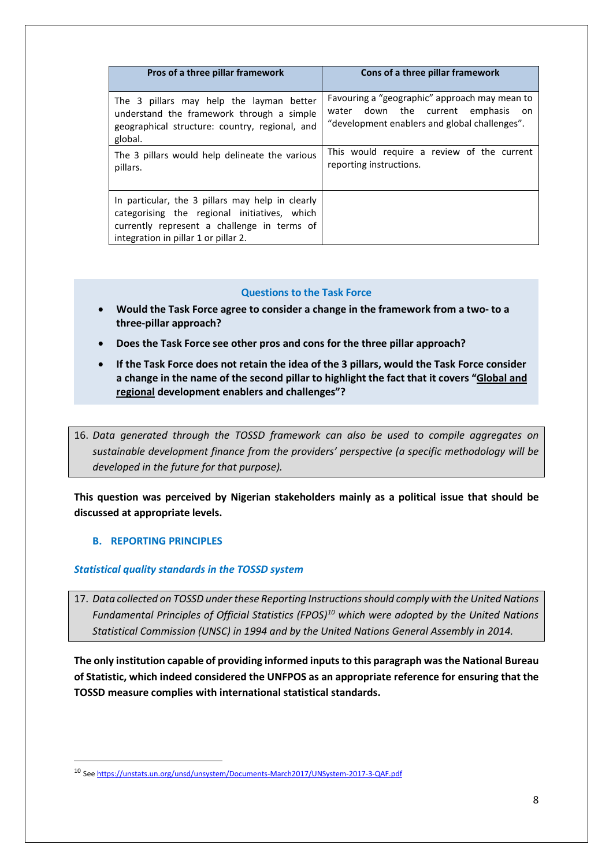| Pros of a three pillar framework                                                                                                                                                        | Cons of a three pillar framework              |
|-----------------------------------------------------------------------------------------------------------------------------------------------------------------------------------------|-----------------------------------------------|
| The 3 pillars may help the layman better                                                                                                                                                | Favouring a "geographic" approach may mean to |
| understand the framework through a simple                                                                                                                                               | water down the current emphasis               |
| geographical structure: country, regional, and                                                                                                                                          | on on                                         |
| global.                                                                                                                                                                                 | "development enablers and global challenges". |
| The 3 pillars would help delineate the various                                                                                                                                          | This would require a review of the current    |
| pillars.                                                                                                                                                                                | reporting instructions.                       |
| In particular, the 3 pillars may help in clearly<br>categorising the regional initiatives, which<br>currently represent a challenge in terms of<br>integration in pillar 1 or pillar 2. |                                               |

### **Questions to the Task Force**

- **Would the Task Force agree to consider a change in the framework from a two- to a three-pillar approach?**
- **Does the Task Force see other pros and cons for the three pillar approach?**
- **If the Task Force does not retain the idea of the 3 pillars, would the Task Force consider a change in the name of the second pillar to highlight the fact that it covers "Global and regional development enablers and challenges"?**

16. *Data generated through the TOSSD framework can also be used to compile aggregates on sustainable development finance from the providers' perspective (a specific methodology will be developed in the future for that purpose).*

**This question was perceived by Nigerian stakeholders mainly as a political issue that should be discussed at appropriate levels.** 

#### <span id="page-7-0"></span>**B. REPORTING PRINCIPLES**

#### <span id="page-7-1"></span>*Statistical quality standards in the TOSSD system*

17. *Data collected on TOSSD under these Reporting Instructions should comply with the United Nations Fundamental Principles of Official Statistics (FPOS)[10](#page-7-2) which were adopted by the United Nations Statistical Commission (UNSC) in 1994 and by the United Nations General Assembly in 2014.*

**The only institution capable of providing informed inputs to this paragraph was the National Bureau of Statistic, which indeed considered the UNFPOS as an appropriate reference for ensuring that the TOSSD measure complies with international statistical standards.**

<span id="page-7-2"></span> <sup>10</sup> Se[e https://unstats.un.org/unsd/unsystem/Documents-March2017/UNSystem-2017-3-QAF.pdf](https://unstats.un.org/unsd/unsystem/Documents-March2017/UNSystem-2017-3-QAF.pdf)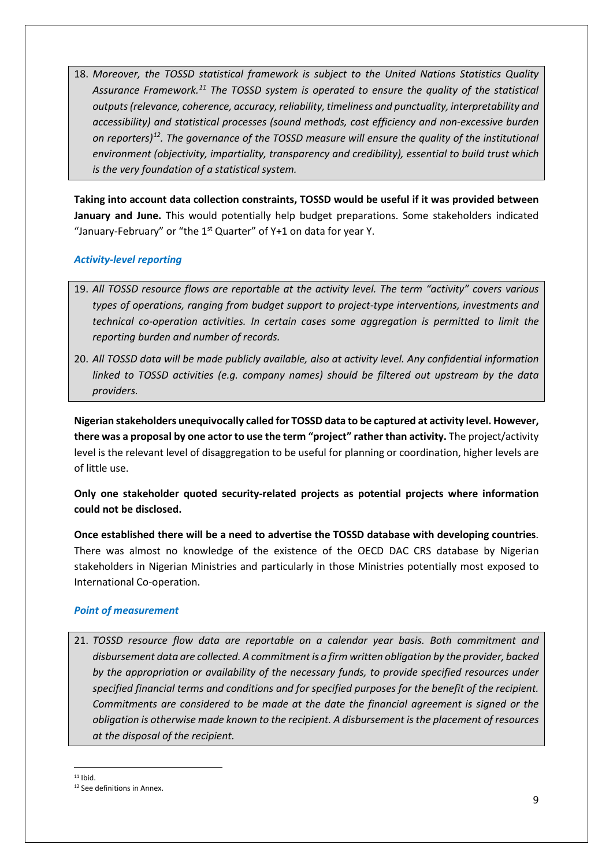18. *Moreover, the TOSSD statistical framework is subject to the United Nations Statistics Quality Assurance Framework[.11](#page-8-2) The TOSSD system is operated to ensure the quality of the statistical outputs (relevance, coherence, accuracy, reliability, timeliness and punctuality, interpretability and accessibility) and statistical processes (sound methods, cost efficiency and non-excessive burden on reporters)[12](#page-8-3). The governance of the TOSSD measure will ensure the quality of the institutional environment (objectivity, impartiality, transparency and credibility), essential to build trust which is the very foundation of a statistical system.*

**Taking into account data collection constraints, TOSSD would be useful if it was provided between January and June.** This would potentially help budget preparations. Some stakeholders indicated "January-February" or "the  $1<sup>st</sup>$  Quarter" of Y+1 on data for year Y.

### <span id="page-8-0"></span>*Activity-level reporting*

- 19. *All TOSSD resource flows are reportable at the activity level. The term "activity" covers various types of operations, ranging from budget support to project-type interventions, investments and technical co-operation activities. In certain cases some aggregation is permitted to limit the reporting burden and number of records.*
- 20. *All TOSSD data will be made publicly available, also at activity level. Any confidential information linked to TOSSD activities (e.g. company names) should be filtered out upstream by the data providers.*

**Nigerian stakeholders unequivocally called for TOSSD data to be captured at activity level. However, there was a proposal by one actor to use the term "project" rather than activity.** The project/activity level is the relevant level of disaggregation to be useful for planning or coordination, higher levels are of little use.

**Only one stakeholder quoted security-related projects as potential projects where information could not be disclosed.** 

**Once established there will be a need to advertise the TOSSD database with developing countries**. There was almost no knowledge of the existence of the OECD DAC CRS database by Nigerian stakeholders in Nigerian Ministries and particularly in those Ministries potentially most exposed to International Co-operation.

#### <span id="page-8-1"></span>*Point of measurement*

21. *TOSSD resource flow data are reportable on a calendar year basis. Both commitment and disbursement data are collected. A commitment is a firm written obligation by the provider, backed by the appropriation or availability of the necessary funds, to provide specified resources under specified financial terms and conditions and for specified purposes for the benefit of the recipient. Commitments are considered to be made at the date the financial agreement is signed or the obligation is otherwise made known to the recipient. A disbursement is the placement of resources at the disposal of the recipient.*

<span id="page-8-2"></span> $11$  Ihid.

<span id="page-8-3"></span><sup>12</sup> See definitions in Annex.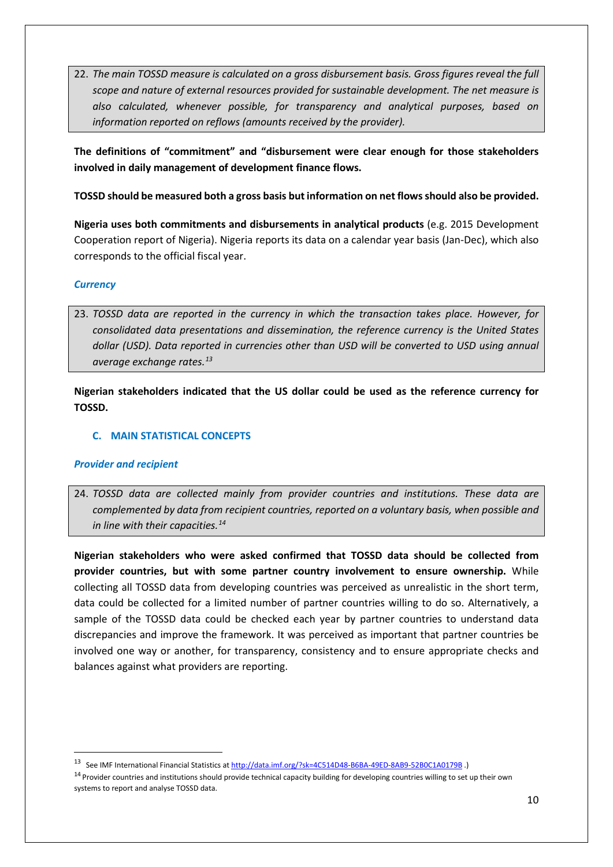22. *The main TOSSD measure is calculated on a gross disbursement basis. Gross figures reveal the full scope and nature of external resources provided for sustainable development. The net measure is also calculated, whenever possible, for transparency and analytical purposes, based on information reported on reflows (amounts received by the provider).* 

**The definitions of "commitment" and "disbursement were clear enough for those stakeholders involved in daily management of development finance flows.**

### **TOSSD should be measured both a gross basis but information on net flows should also be provided.**

**Nigeria uses both commitments and disbursements in analytical products** (e.g. 2015 Development Cooperation report of Nigeria). Nigeria reports its data on a calendar year basis (Jan-Dec), which also corresponds to the official fiscal year.

### <span id="page-9-0"></span>*Currency*

23. *TOSSD data are reported in the currency in which the transaction takes place. However, for consolidated data presentations and dissemination, the reference currency is the United States dollar (USD). Data reported in currencies other than USD will be converted to USD using annual average exchange rates.[13](#page-9-3)*

**Nigerian stakeholders indicated that the US dollar could be used as the reference currency for TOSSD.** 

### <span id="page-9-1"></span>**C. MAIN STATISTICAL CONCEPTS**

#### <span id="page-9-2"></span>*Provider and recipient*

24. *TOSSD data are collected mainly from provider countries and institutions. These data are complemented by data from recipient countries, reported on a voluntary basis, when possible and in line with their capacities.[14](#page-9-4)*

**Nigerian stakeholders who were asked confirmed that TOSSD data should be collected from provider countries, but with some partner country involvement to ensure ownership.** While collecting all TOSSD data from developing countries was perceived as unrealistic in the short term, data could be collected for a limited number of partner countries willing to do so. Alternatively, a sample of the TOSSD data could be checked each year by partner countries to understand data discrepancies and improve the framework. It was perceived as important that partner countries be involved one way or another, for transparency, consistency and to ensure appropriate checks and balances against what providers are reporting.

<span id="page-9-3"></span> <sup>13</sup> See IMF International Financial Statistics at<http://data.imf.org/?sk=4C514D48-B6BA-49ED-8AB9-52B0C1A0179B> .)

<span id="page-9-4"></span><sup>&</sup>lt;sup>14</sup> Provider countries and institutions should provide technical capacity building for developing countries willing to set up their own systems to report and analyse TOSSD data.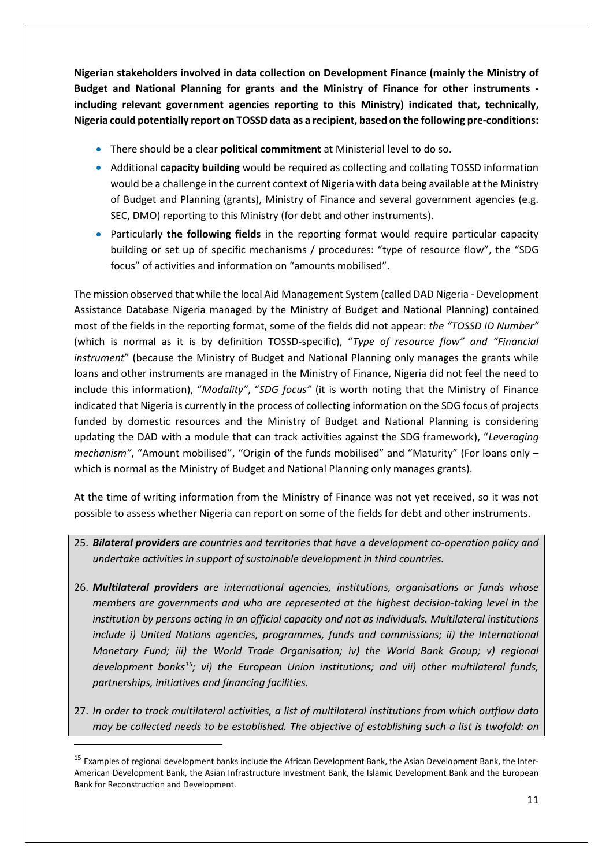**Nigerian stakeholders involved in data collection on Development Finance (mainly the Ministry of Budget and National Planning for grants and the Ministry of Finance for other instruments including relevant government agencies reporting to this Ministry) indicated that, technically, Nigeria could potentially report on TOSSD data as a recipient, based on the following pre-conditions:**

- There should be a clear **political commitment** at Ministerial level to do so.
- Additional **capacity building** would be required as collecting and collating TOSSD information would be a challenge in the current context of Nigeria with data being available at the Ministry of Budget and Planning (grants), Ministry of Finance and several government agencies (e.g. SEC, DMO) reporting to this Ministry (for debt and other instruments).
- Particularly **the following fields** in the reporting format would require particular capacity building or set up of specific mechanisms / procedures: "type of resource flow", the "SDG focus" of activities and information on "amounts mobilised".

The mission observed that while the local Aid Management System (called DAD Nigeria - Development Assistance Database Nigeria managed by the Ministry of Budget and National Planning) contained most of the fields in the reporting format, some of the fields did not appear: *the "TOSSD ID Number"* (which is normal as it is by definition TOSSD-specific), "*Type of resource flow" and "Financial instrument*" (because the Ministry of Budget and National Planning only manages the grants while loans and other instruments are managed in the Ministry of Finance, Nigeria did not feel the need to include this information), "*Modality"*, "*SDG focus"* (it is worth noting that the Ministry of Finance indicated that Nigeria is currently in the process of collecting information on the SDG focus of projects funded by domestic resources and the Ministry of Budget and National Planning is considering updating the DAD with a module that can track activities against the SDG framework), "*Leveraging mechanism"*, "Amount mobilised", "Origin of the funds mobilised" and "Maturity" (For loans only – which is normal as the Ministry of Budget and National Planning only manages grants).

At the time of writing information from the Ministry of Finance was not yet received, so it was not possible to assess whether Nigeria can report on some of the fields for debt and other instruments.

- 25. *Bilateral providers are countries and territories that have a development co-operation policy and undertake activities in support of sustainable development in third countries.*
- 26. *Multilateral providers are international agencies, institutions, organisations or funds whose members are governments and who are represented at the highest decision-taking level in the institution by persons acting in an official capacity and not as individuals. Multilateral institutions include i) United Nations agencies, programmes, funds and commissions; ii) the International Monetary Fund; iii) the World Trade Organisation; iv) the World Bank Group; v) regional development banks[15](#page-10-0); vi) the European Union institutions; and vii) other multilateral funds, partnerships, initiatives and financing facilities.*
- 27. *In order to track multilateral activities, a list of multilateral institutions from which outflow data may be collected needs to be established. The objective of establishing such a list is twofold: on*

**.** 

<span id="page-10-0"></span><sup>&</sup>lt;sup>15</sup> Examples of regional development banks include the African Development Bank, the Asian Development Bank, the Inter-American Development Bank, the Asian Infrastructure Investment Bank, the Islamic Development Bank and the European Bank for Reconstruction and Development.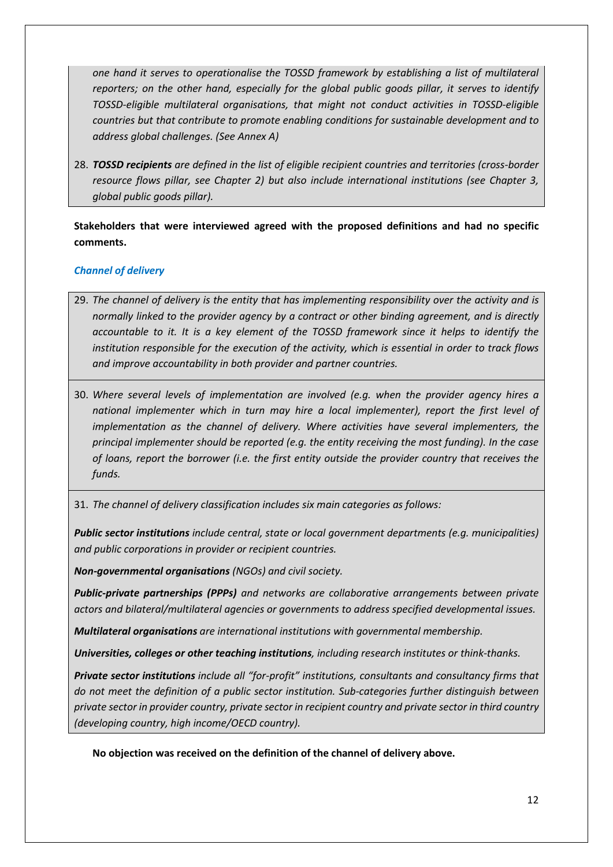*one hand it serves to operationalise the TOSSD framework by establishing a list of multilateral reporters; on the other hand, especially for the global public goods pillar, it serves to identify TOSSD-eligible multilateral organisations, that might not conduct activities in TOSSD-eligible countries but that contribute to promote enabling conditions for sustainable development and to address global challenges. (See Annex A)*

28. *TOSSD recipients are defined in the list of eligible recipient countries and territories (cross-border resource flows pillar, see Chapter 2) but also include international institutions (see Chapter 3, global public goods pillar).* 

### **Stakeholders that were interviewed agreed with the proposed definitions and had no specific comments.**

### <span id="page-11-0"></span>*Channel of delivery*

- 29. *The channel of delivery is the entity that has implementing responsibility over the activity and is normally linked to the provider agency by a contract or other binding agreement, and is directly accountable to it. It is a key element of the TOSSD framework since it helps to identify the institution responsible for the execution of the activity, which is essential in order to track flows and improve accountability in both provider and partner countries.*
- 30. *Where several levels of implementation are involved (e.g. when the provider agency hires a national implementer which in turn may hire a local implementer), report the first level of implementation as the channel of delivery. Where activities have several implementers, the principal implementer should be reported (e.g. the entity receiving the most funding). In the case of loans, report the borrower (i.e. the first entity outside the provider country that receives the funds.*

31. *The channel of delivery classification includes six main categories as follows:* 

*Public sector institutions include central, state or local government departments (e.g. municipalities) and public corporations in provider or recipient countries.* 

*Non-governmental organisations (NGOs) and civil society.* 

*Public-private partnerships (PPPs) and networks are collaborative arrangements between private actors and bilateral/multilateral agencies or governments to address specified developmental issues.* 

*Multilateral organisations are international institutions with governmental membership.* 

*Universities, colleges or other teaching institutions, including research institutes or think-thanks.* 

*Private sector institutions include all "for-profit" institutions, consultants and consultancy firms that do not meet the definition of a public sector institution. Sub-categories further distinguish between private sector in provider country, private sector in recipient country and private sector in third country (developing country, high income/OECD country).* 

**No objection was received on the definition of the channel of delivery above.**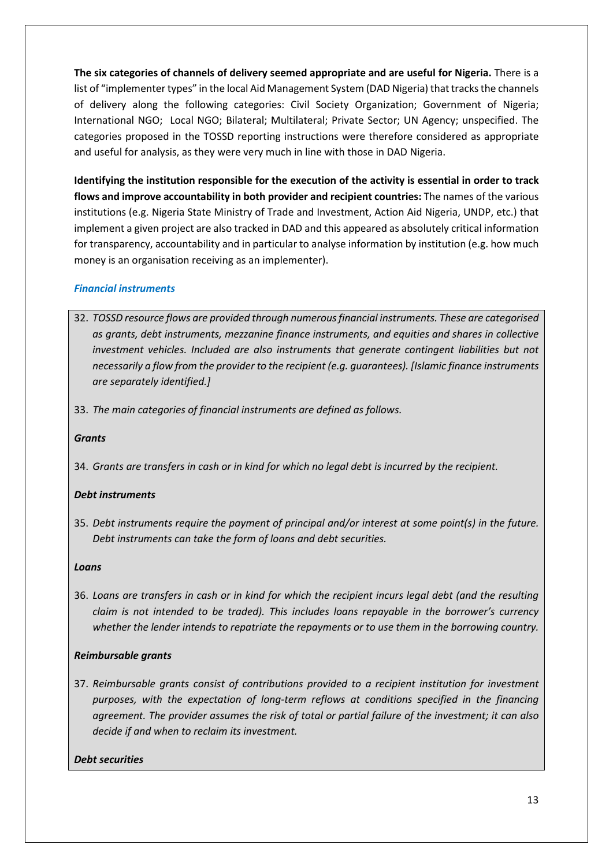**The six categories of channels of delivery seemed appropriate and are useful for Nigeria.** There is a list of "implementer types" in the local Aid Management System (DAD Nigeria) that tracks the channels of delivery along the following categories: Civil Society Organization; Government of Nigeria; International NGO; Local NGO; Bilateral; Multilateral; Private Sector; UN Agency; unspecified. The categories proposed in the TOSSD reporting instructions were therefore considered as appropriate and useful for analysis, as they were very much in line with those in DAD Nigeria.

**Identifying the institution responsible for the execution of the activity is essential in order to track flows and improve accountability in both provider and recipient countries:** The names of the various institutions (e.g. Nigeria State Ministry of Trade and Investment, Action Aid Nigeria, UNDP, etc.) that implement a given project are also tracked in DAD and this appeared as absolutely critical information for transparency, accountability and in particular to analyse information by institution (e.g. how much money is an organisation receiving as an implementer).

### <span id="page-12-0"></span>*Financial instruments*

- 32. *TOSSD resource flows are provided through numerous financial instruments. These are categorised as grants, debt instruments, mezzanine finance instruments, and equities and shares in collective investment vehicles. Included are also instruments that generate contingent liabilities but not necessarily a flow from the provider to the recipient (e.g. guarantees). [Islamic finance instruments are separately identified.]*
- 33. *The main categories of financial instruments are defined as follows.*

### *Grants*

34. *Grants are transfers in cash or in kind for which no legal debt is incurred by the recipient.* 

### *Debt instruments*

35. *Debt instruments require the payment of principal and/or interest at some point(s) in the future. Debt instruments can take the form of loans and debt securities.*

### *Loans*

36. *Loans are transfers in cash or in kind for which the recipient incurs legal debt (and the resulting claim is not intended to be traded). This includes loans repayable in the borrower's currency whether the lender intends to repatriate the repayments or to use them in the borrowing country.* 

### *Reimbursable grants*

37. *Reimbursable grants consist of contributions provided to a recipient institution for investment purposes, with the expectation of long-term reflows at conditions specified in the financing agreement. The provider assumes the risk of total or partial failure of the investment; it can also decide if and when to reclaim its investment.*

### *Debt securities*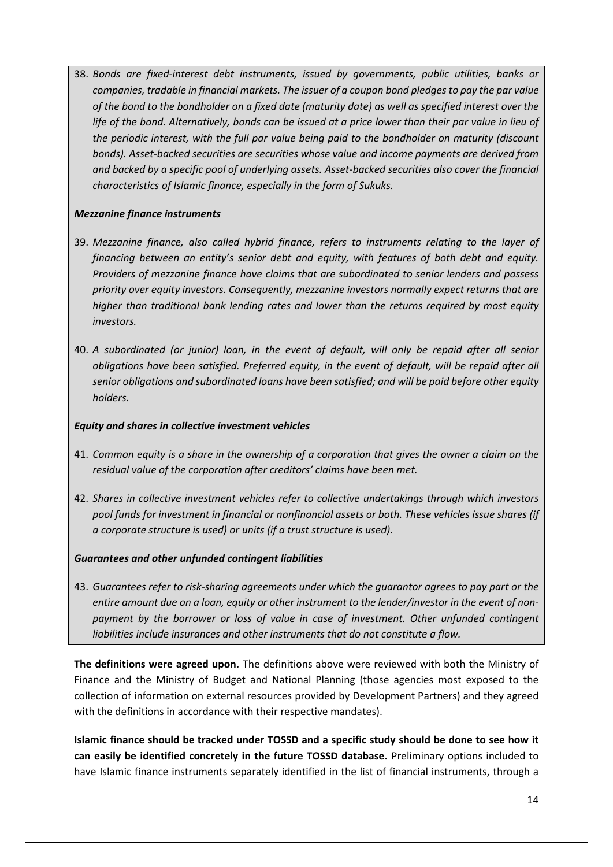38. *Bonds are fixed-interest debt instruments, issued by governments, public utilities, banks or companies, tradable in financial markets. The issuer of a coupon bond pledges to pay the par value of the bond to the bondholder on a fixed date (maturity date) as well as specified interest over the life of the bond. Alternatively, bonds can be issued at a price lower than their par value in lieu of the periodic interest, with the full par value being paid to the bondholder on maturity (discount bonds). Asset-backed securities are securities whose value and income payments are derived from and backed by a specific pool of underlying assets. Asset-backed securities also cover the financial characteristics of Islamic finance, especially in the form of Sukuks.*

### *Mezzanine finance instruments*

- 39. *Mezzanine finance, also called hybrid finance, refers to instruments relating to the layer of financing between an entity's senior debt and equity, with features of both debt and equity. Providers of mezzanine finance have claims that are subordinated to senior lenders and possess priority over equity investors. Consequently, mezzanine investors normally expect returns that are higher than traditional bank lending rates and lower than the returns required by most equity investors.*
- 40. *A subordinated (or junior) loan, in the event of default, will only be repaid after all senior obligations have been satisfied. Preferred equity, in the event of default, will be repaid after all senior obligations and subordinated loans have been satisfied; and will be paid before other equity holders.*

### *Equity and shares in collective investment vehicles*

- 41. *Common equity is a share in the ownership of a corporation that gives the owner a claim on the residual value of the corporation after creditors' claims have been met.*
- 42. *Shares in collective investment vehicles refer to collective undertakings through which investors pool funds for investment in financial or nonfinancial assets or both. These vehicles issue shares (if a corporate structure is used) or units (if a trust structure is used).*

### *Guarantees and other unfunded contingent liabilities*

43. *Guarantees refer to risk-sharing agreements under which the guarantor agrees to pay part or the*  entire amount due on a loan, equity or other instrument to the lender/investor in the event of non*payment by the borrower or loss of value in case of investment. Other unfunded contingent liabilities include insurances and other instruments that do not constitute a flow.*

**The definitions were agreed upon.** The definitions above were reviewed with both the Ministry of Finance and the Ministry of Budget and National Planning (those agencies most exposed to the collection of information on external resources provided by Development Partners) and they agreed with the definitions in accordance with their respective mandates).

**Islamic finance should be tracked under TOSSD and a specific study should be done to see how it can easily be identified concretely in the future TOSSD database.** Preliminary options included to have Islamic finance instruments separately identified in the list of financial instruments, through a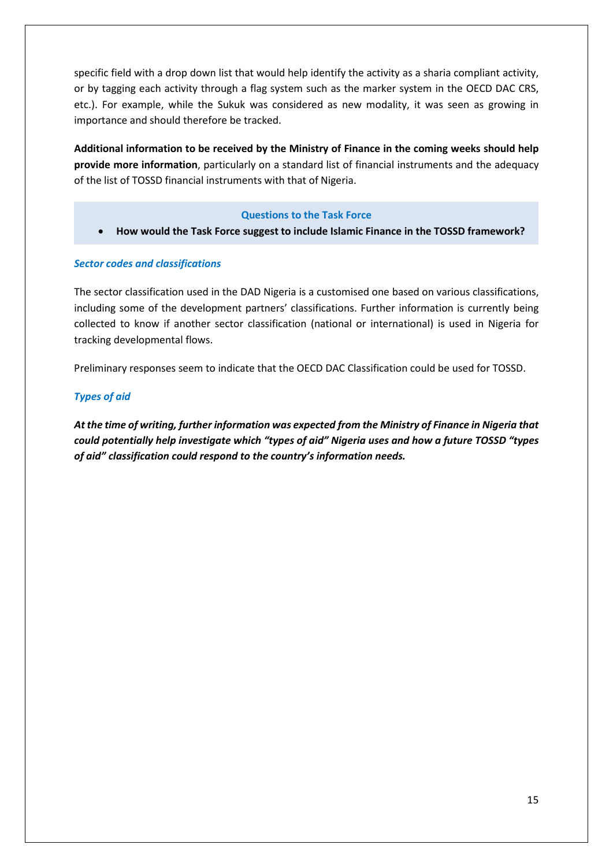specific field with a drop down list that would help identify the activity as a sharia compliant activity, or by tagging each activity through a flag system such as the marker system in the OECD DAC CRS, etc.). For example, while the Sukuk was considered as new modality, it was seen as growing in importance and should therefore be tracked.

**Additional information to be received by the Ministry of Finance in the coming weeks should help provide more information**, particularly on a standard list of financial instruments and the adequacy of the list of TOSSD financial instruments with that of Nigeria.

### **Questions to the Task Force**

• **How would the Task Force suggest to include Islamic Finance in the TOSSD framework?** 

### <span id="page-14-0"></span>*Sector codes and classifications*

The sector classification used in the DAD Nigeria is a customised one based on various classifications, including some of the development partners' classifications. Further information is currently being collected to know if another sector classification (national or international) is used in Nigeria for tracking developmental flows.

Preliminary responses seem to indicate that the OECD DAC Classification could be used for TOSSD.

### <span id="page-14-1"></span>*Types of aid*

*At the time of writing, further information was expected from the Ministry of Finance in Nigeria that could potentially help investigate which "types of aid" Nigeria uses and how a future TOSSD "types of aid" classification could respond to the country's information needs.*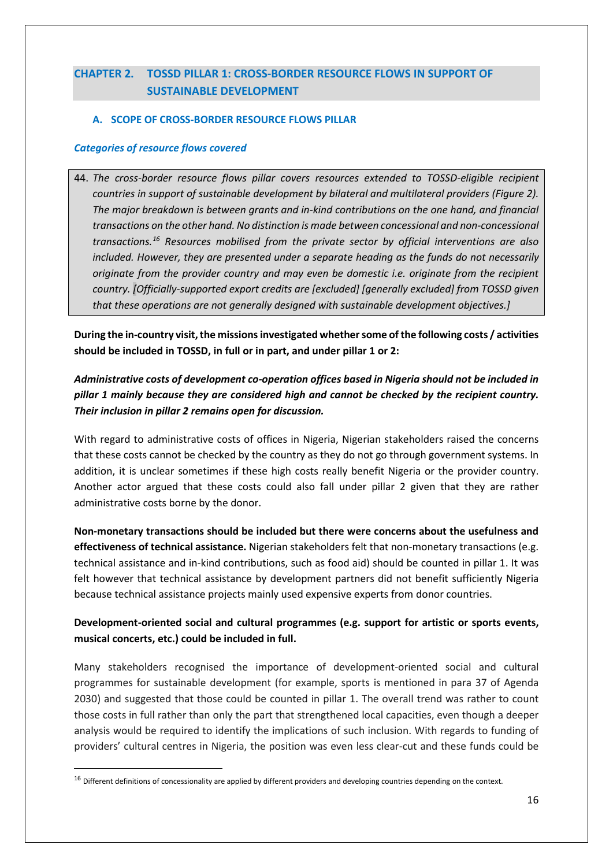# <span id="page-15-0"></span>**CHAPTER 2. TOSSD PILLAR 1: CROSS-BORDER RESOURCE FLOWS IN SUPPORT OF SUSTAINABLE DEVELOPMENT**

### <span id="page-15-1"></span>**A. SCOPE OF CROSS-BORDER RESOURCE FLOWS PILLAR**

### <span id="page-15-2"></span>*Categories of resource flows covered*

44. *The cross-border resource flows pillar covers resources extended to TOSSD-eligible recipient countries in support of sustainable development by bilateral and multilateral providers (Figure 2). The major breakdown is between grants and in-kind contributions on the one hand, and financial transactions on the other hand. No distinction is made between concessional and non-concessional transactions.[16](#page-15-3) Resources mobilised from the private sector by official interventions are also included. However, they are presented under a separate heading as the funds do not necessarily originate from the provider country and may even be domestic i.e. originate from the recipient country. [Officially-supported export credits are [excluded] [generally excluded] from TOSSD given that these operations are not generally designed with sustainable development objectives.]*

During the in-country visit, the missions investigated whether some of the following costs / activities **should be included in TOSSD, in full or in part, and under pillar 1 or 2:** 

### *Administrative costs of development co-operation offices based in Nigeria should not be included in pillar 1 mainly because they are considered high and cannot be checked by the recipient country. Their inclusion in pillar 2 remains open for discussion.*

With regard to administrative costs of offices in Nigeria, Nigerian stakeholders raised the concerns that these costs cannot be checked by the country as they do not go through government systems. In addition, it is unclear sometimes if these high costs really benefit Nigeria or the provider country. Another actor argued that these costs could also fall under pillar 2 given that they are rather administrative costs borne by the donor.

**Non-monetary transactions should be included but there were concerns about the usefulness and effectiveness of technical assistance.** Nigerian stakeholders felt that non-monetary transactions (e.g. technical assistance and in-kind contributions, such as food aid) should be counted in pillar 1. It was felt however that technical assistance by development partners did not benefit sufficiently Nigeria because technical assistance projects mainly used expensive experts from donor countries.

### **Development-oriented social and cultural programmes (e.g. support for artistic or sports events, musical concerts, etc.) could be included in full.**

Many stakeholders recognised the importance of development-oriented social and cultural programmes for sustainable development (for example, sports is mentioned in para 37 of Agenda 2030) and suggested that those could be counted in pillar 1. The overall trend was rather to count those costs in full rather than only the part that strengthened local capacities, even though a deeper analysis would be required to identify the implications of such inclusion. With regards to funding of providers' cultural centres in Nigeria, the position was even less clear-cut and these funds could be

<span id="page-15-3"></span> $16$  Different definitions of concessionality are applied by different providers and developing countries depending on the context.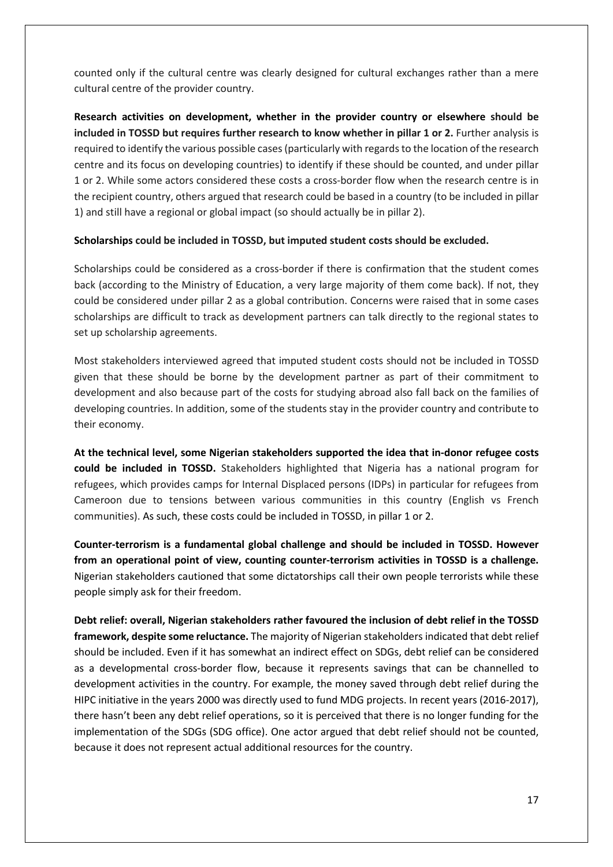counted only if the cultural centre was clearly designed for cultural exchanges rather than a mere cultural centre of the provider country.

**Research activities on development, whether in the provider country or elsewhere should be included in TOSSD but requires further research to know whether in pillar 1 or 2.** Further analysis is required to identify the various possible cases (particularly with regards to the location of the research centre and its focus on developing countries) to identify if these should be counted, and under pillar 1 or 2. While some actors considered these costs a cross-border flow when the research centre is in the recipient country, others argued that research could be based in a country (to be included in pillar 1) and still have a regional or global impact (so should actually be in pillar 2).

#### **Scholarships could be included in TOSSD, but imputed student costs should be excluded.**

Scholarships could be considered as a cross-border if there is confirmation that the student comes back (according to the Ministry of Education, a very large majority of them come back). If not, they could be considered under pillar 2 as a global contribution. Concerns were raised that in some cases scholarships are difficult to track as development partners can talk directly to the regional states to set up scholarship agreements.

Most stakeholders interviewed agreed that imputed student costs should not be included in TOSSD given that these should be borne by the development partner as part of their commitment to development and also because part of the costs for studying abroad also fall back on the families of developing countries. In addition, some of the students stay in the provider country and contribute to their economy.

**At the technical level, some Nigerian stakeholders supported the idea that in-donor refugee costs could be included in TOSSD.** Stakeholders highlighted that Nigeria has a national program for refugees, which provides camps for Internal Displaced persons (IDPs) in particular for refugees from Cameroon due to tensions between various communities in this country (English vs French communities). As such, these costs could be included in TOSSD, in pillar 1 or 2.

**Counter-terrorism is a fundamental global challenge and should be included in TOSSD. However from an operational point of view, counting counter-terrorism activities in TOSSD is a challenge.**  Nigerian stakeholders cautioned that some dictatorships call their own people terrorists while these people simply ask for their freedom.

**Debt relief: overall, Nigerian stakeholders rather favoured the inclusion of debt relief in the TOSSD framework, despite some reluctance.** The majority of Nigerian stakeholders indicated that debt relief should be included. Even if it has somewhat an indirect effect on SDGs, debt relief can be considered as a developmental cross-border flow, because it represents savings that can be channelled to development activities in the country. For example, the money saved through debt relief during the HIPC initiative in the years 2000 was directly used to fund MDG projects. In recent years (2016-2017), there hasn't been any debt relief operations, so it is perceived that there is no longer funding for the implementation of the SDGs (SDG office). One actor argued that debt relief should not be counted, because it does not represent actual additional resources for the country.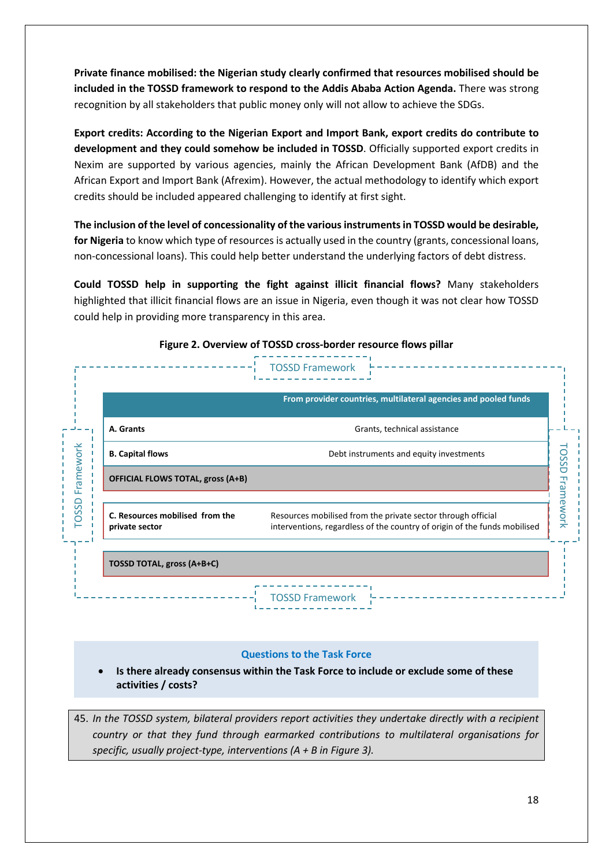**Private finance mobilised: the Nigerian study clearly confirmed that resources mobilised should be included in the TOSSD framework to respond to the Addis Ababa Action Agenda.** There was strong recognition by all stakeholders that public money only will not allow to achieve the SDGs.

**Export credits: According to the Nigerian Export and Import Bank, export credits do contribute to development and they could somehow be included in TOSSD**. Officially supported export credits in Nexim are supported by various agencies, mainly the African Development Bank (AfDB) and the African Export and Import Bank (Afrexim). However, the actual methodology to identify which export credits should be included appeared challenging to identify at first sight.

**The inclusion of the level of concessionality of the various instruments in TOSSD would be desirable, for Nigeria** to know which type of resources is actually used in the country (grants, concessional loans, non-concessional loans). This could help better understand the underlying factors of debt distress.

**Could TOSSD help in supporting the fight against illicit financial flows?** Many stakeholders highlighted that illicit financial flows are an issue in Nigeria, even though it was not clear how TOSSD could help in providing more transparency in this area.

|                                                   | From provider countries, multilateral agencies and pooled funds                                                                           |
|---------------------------------------------------|-------------------------------------------------------------------------------------------------------------------------------------------|
| A. Grants                                         | Grants, technical assistance                                                                                                              |
| <b>B. Capital flows</b>                           | Debt instruments and equity investments                                                                                                   |
| <b>OFFICIAL FLOWS TOTAL, gross (A+B)</b>          |                                                                                                                                           |
| C. Resources mobilised from the<br>private sector | Resources mobilised from the private sector through official<br>interventions, regardless of the country of origin of the funds mobilised |
| TOSSD TOTAL, gross (A+B+C)                        |                                                                                                                                           |

#### **Figure 2. Overview of TOSSD cross-border resource flows pillar**

#### **Questions to the Task Force**

• **Is there already consensus within the Task Force to include or exclude some of these activities / costs?** 

45. *In the TOSSD system, bilateral providers report activities they undertake directly with a recipient country or that they fund through earmarked contributions to multilateral organisations for specific, usually project-type, interventions (A + B in Figure 3).*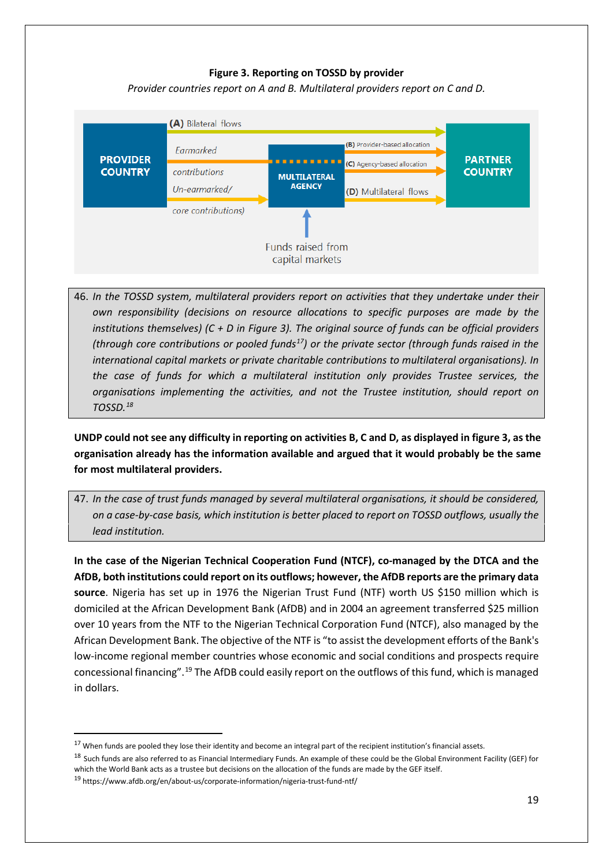### **Figure 3. Reporting on TOSSD by provider**

*Provider countries report on A and B. Multilateral providers report on C and D.*



46. *In the TOSSD system, multilateral providers report on activities that they undertake under their own responsibility (decisions on resource allocations to specific purposes are made by the institutions themselves) (C + D in Figure 3). The original source of funds can be official providers (through core contributions or pooled funds[17](#page-18-0)) or the private sector (through funds raised in the international capital markets or private charitable contributions to multilateral organisations). In the case of funds for which a multilateral institution only provides Trustee services, the organisations implementing the activities, and not the Trustee institution, should report on TOSSD.[18](#page-18-1)*

**UNDP could not see any difficulty in reporting on activities B, C and D, as displayed in figure 3, as the organisation already has the information available and argued that it would probably be the same for most multilateral providers.** 

47. *In the case of trust funds managed by several multilateral organisations, it should be considered, on a case-by-case basis, which institution is better placed to report on TOSSD outflows, usually the lead institution.*

**In the case of the Nigerian Technical Cooperation Fund (NTCF), co-managed by the DTCA and the AfDB, both institutions could report on its outflows; however, the AfDB reports are the primary data source**. Nigeria has set up in 1976 the Nigerian Trust Fund (NTF) worth US \$150 million which is domiciled at the African Development Bank (AfDB) and in 2004 an agreement transferred \$25 million over 10 years from the NTF to the Nigerian Technical Corporation Fund (NTCF), also managed by the African Development Bank. The objective of the NTF is "to assist the development efforts of the Bank's low-income regional member countries whose economic and social conditions and prospects require concessional financing".[19](#page-18-2) The AfDB could easily report on the outflows of this fund, which is managed in dollars.

<span id="page-18-0"></span> $17$  When funds are pooled they lose their identity and become an integral part of the recipient institution's financial assets.

<span id="page-18-1"></span><sup>&</sup>lt;sup>18</sup> Such funds are also referred to as Financial Intermediary Funds. An example of these could be the Global Environment Facility (GEF) for which the World Bank acts as a trustee but decisions on the allocation of the funds are made by the GEF itself.

<span id="page-18-2"></span><sup>19</sup> https://www.afdb.org/en/about-us/corporate-information/nigeria-trust-fund-ntf/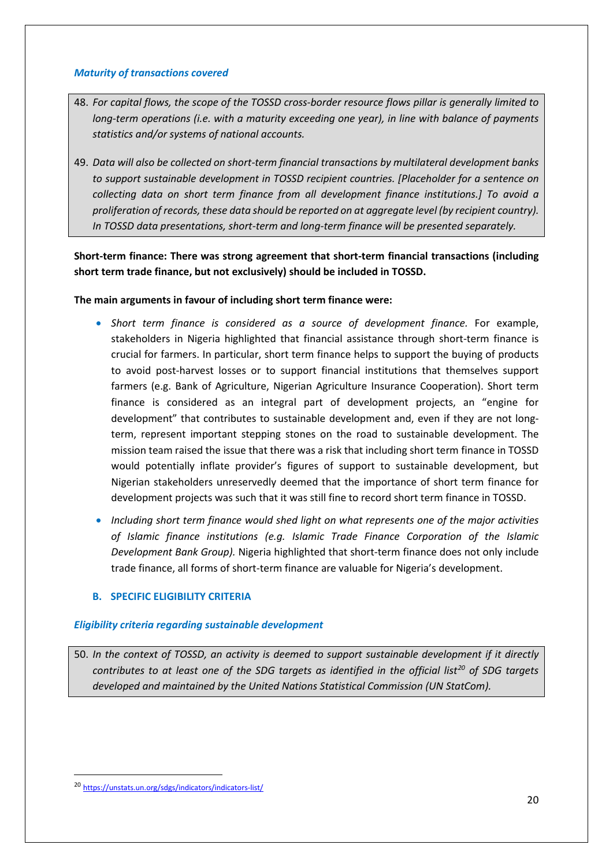### <span id="page-19-0"></span>*Maturity of transactions covered*

- 48. *For capital flows, the scope of the TOSSD cross-border resource flows pillar is generally limited to long-term operations (i.e. with a maturity exceeding one year), in line with balance of payments statistics and/or systems of national accounts.*
- 49. *Data will also be collected on short-term financial transactions by multilateral development banks to support sustainable development in TOSSD recipient countries. [Placeholder for a sentence on collecting data on short term finance from all development finance institutions.] To avoid a proliferation of records, these data should be reported on at aggregate level (by recipient country). In TOSSD data presentations, short-term and long-term finance will be presented separately.*

**Short-term finance: There was strong agreement that short-term financial transactions (including short term trade finance, but not exclusively) should be included in TOSSD.** 

### **The main arguments in favour of including short term finance were:**

- *Short term finance is considered as a source of development finance.* For example, stakeholders in Nigeria highlighted that financial assistance through short-term finance is crucial for farmers. In particular, short term finance helps to support the buying of products to avoid post-harvest losses or to support financial institutions that themselves support farmers (e.g. Bank of Agriculture, Nigerian Agriculture Insurance Cooperation). Short term finance is considered as an integral part of development projects, an "engine for development" that contributes to sustainable development and, even if they are not longterm, represent important stepping stones on the road to sustainable development. The mission team raised the issue that there was a risk that including short term finance in TOSSD would potentially inflate provider's figures of support to sustainable development, but Nigerian stakeholders unreservedly deemed that the importance of short term finance for development projects was such that it was still fine to record short term finance in TOSSD.
- *Including short term finance would shed light on what represents one of the major activities of Islamic finance institutions (e.g. Islamic Trade Finance Corporation of the Islamic Development Bank Group).* Nigeria highlighted that short-term finance does not only include trade finance, all forms of short-term finance are valuable for Nigeria's development.

### <span id="page-19-1"></span>**B. SPECIFIC ELIGIBILITY CRITERIA**

# <span id="page-19-2"></span>*Eligibility criteria regarding sustainable development*

50. *In the context of TOSSD, an activity is deemed to support sustainable development if it directly contributes to at least one of the SDG targets as identified in the official list[20](#page-19-3) of SDG targets developed and maintained by the United Nations Statistical Commission (UN StatCom).*

<span id="page-19-3"></span> <sup>20</sup> <https://unstats.un.org/sdgs/indicators/indicators-list/>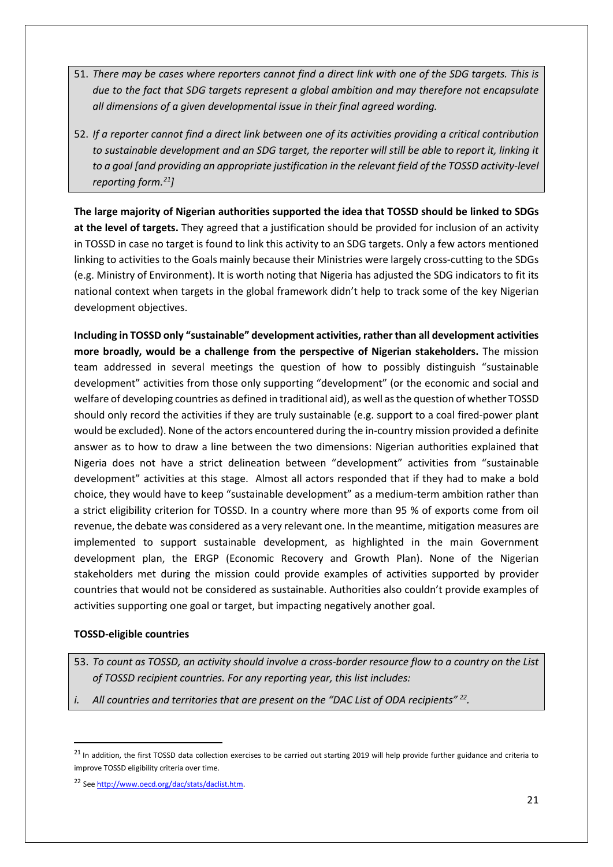- 51. *There may be cases where reporters cannot find a direct link with one of the SDG targets. This is due to the fact that SDG targets represent a global ambition and may therefore not encapsulate all dimensions of a given developmental issue in their final agreed wording.*
- 52. *If a reporter cannot find a direct link between one of its activities providing a critical contribution to sustainable development and an SDG target, the reporter will still be able to report it, linking it to a goal [and providing an appropriate justification in the relevant field of the TOSSD activity-level reporting form. [21\]](#page-20-0)*

**The large majority of Nigerian authorities supported the idea that TOSSD should be linked to SDGs at the level of targets.** They agreed that a justification should be provided for inclusion of an activity in TOSSD in case no target is found to link this activity to an SDG targets. Only a few actors mentioned linking to activities to the Goals mainly because their Ministries were largely cross-cutting to the SDGs (e.g. Ministry of Environment). It is worth noting that Nigeria has adjusted the SDG indicators to fit its national context when targets in the global framework didn't help to track some of the key Nigerian development objectives.

**Including in TOSSD only "sustainable" development activities, rather than all development activities more broadly, would be a challenge from the perspective of Nigerian stakeholders.** The mission team addressed in several meetings the question of how to possibly distinguish "sustainable development" activities from those only supporting "development" (or the economic and social and welfare of developing countries as defined in traditional aid), as well as the question of whether TOSSD should only record the activities if they are truly sustainable (e.g. support to a coal fired-power plant would be excluded). None of the actors encountered during the in-country mission provided a definite answer as to how to draw a line between the two dimensions: Nigerian authorities explained that Nigeria does not have a strict delineation between "development" activities from "sustainable development" activities at this stage. Almost all actors responded that if they had to make a bold choice, they would have to keep "sustainable development" as a medium-term ambition rather than a strict eligibility criterion for TOSSD. In a country where more than 95 % of exports come from oil revenue, the debate was considered as a very relevant one. In the meantime, mitigation measures are implemented to support sustainable development, as highlighted in the main Government development plan, the ERGP (Economic Recovery and Growth Plan). None of the Nigerian stakeholders met during the mission could provide examples of activities supported by provider countries that would not be considered as sustainable. Authorities also couldn't provide examples of activities supporting one goal or target, but impacting negatively another goal.

### **TOSSD-eligible countries**

- 53. *To count as TOSSD, an activity should involve a cross-border resource flow to a country on the List of TOSSD recipient countries. For any reporting year, this list includes:*
- *i. All countries and territories that are present on the "DAC List of ODA recipients" [22.](#page-20-1)*

<span id="page-20-0"></span> $^{21}$  In addition, the first TOSSD data collection exercises to be carried out starting 2019 will help provide further guidance and criteria to improve TOSSD eligibility criteria over time.

<span id="page-20-1"></span><sup>22</sup> Se[e http://www.oecd.org/dac/stats/daclist.htm.](http://www.oecd.org/dac/stats/daclist.htm)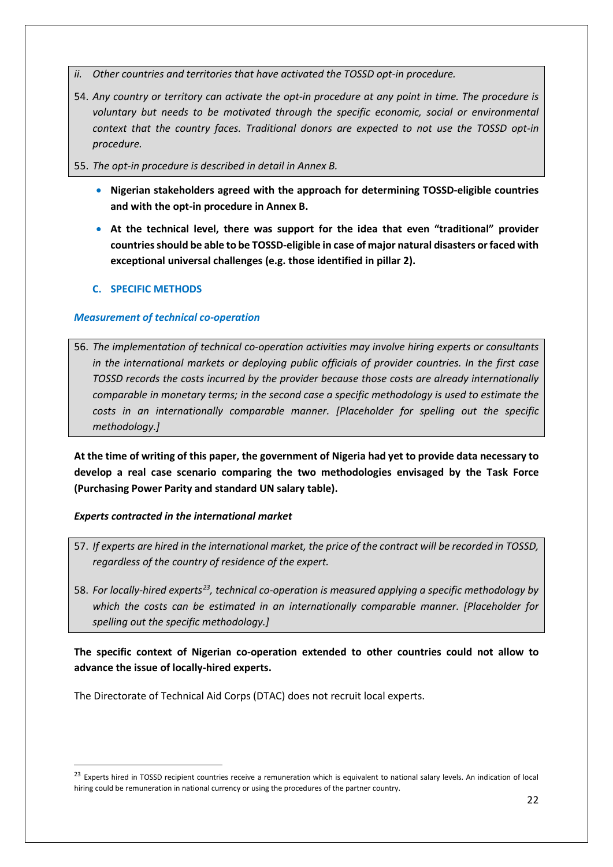- *ii. Other countries and territories that have activated the TOSSD opt-in procedure.*
- 54. *Any country or territory can activate the opt-in procedure at any point in time. The procedure is voluntary but needs to be motivated through the specific economic, social or environmental context that the country faces. Traditional donors are expected to not use the TOSSD opt-in procedure.*
- 55. *The opt-in procedure is described in detail in Annex B.* 
	- **Nigerian stakeholders agreed with the approach for determining TOSSD-eligible countries and with the opt-in procedure in Annex B.**
	- **At the technical level, there was support for the idea that even "traditional" provider countries should be able to be TOSSD-eligible in case of major natural disasters or faced with exceptional universal challenges (e.g. those identified in pillar 2).**

### <span id="page-21-0"></span>**C. SPECIFIC METHODS**

### <span id="page-21-1"></span>*Measurement of technical co-operation*

56. *The implementation of technical co-operation activities may involve hiring experts or consultants in the international markets or deploying public officials of provider countries. In the first case TOSSD records the costs incurred by the provider because those costs are already internationally comparable in monetary terms; in the second case a specific methodology is used to estimate the costs in an internationally comparable manner. [Placeholder for spelling out the specific methodology.]*

**At the time of writing of this paper, the government of Nigeria had yet to provide data necessary to develop a real case scenario comparing the two methodologies envisaged by the Task Force (Purchasing Power Parity and standard UN salary table).** 

#### *Experts contracted in the international market*

- 57. *If experts are hired in the international market, the price of the contract will be recorded in TOSSD, regardless of the country of residence of the expert.*
- 58. *For locally-hired experts[23](#page-21-2), technical co-operation is measured applying a specific methodology by which the costs can be estimated in an internationally comparable manner. [Placeholder for spelling out the specific methodology.]*

### **The specific context of Nigerian co-operation extended to other countries could not allow to advance the issue of locally-hired experts.**

The Directorate of Technical Aid Corps (DTAC) does not recruit local experts.

<span id="page-21-2"></span><sup>&</sup>lt;sup>23</sup> Experts hired in TOSSD recipient countries receive a remuneration which is equivalent to national salary levels. An indication of local hiring could be remuneration in national currency or using the procedures of the partner country.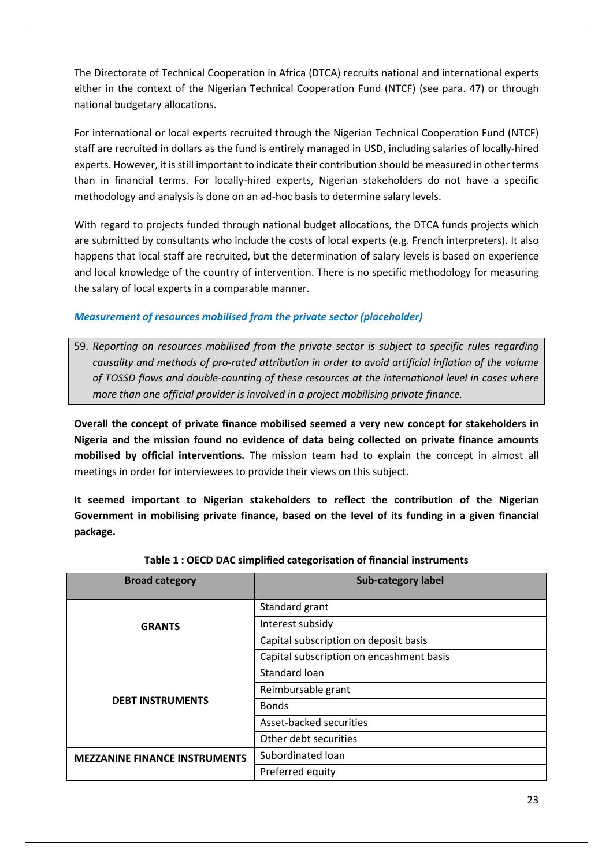The Directorate of Technical Cooperation in Africa (DTCA) recruits national and international experts either in the context of the Nigerian Technical Cooperation Fund (NTCF) (see para. 47) or through national budgetary allocations.

For international or local experts recruited through the Nigerian Technical Cooperation Fund (NTCF) staff are recruited in dollars as the fund is entirely managed in USD, including salaries of locally-hired experts. However, it is still important to indicate their contribution should be measured in other terms than in financial terms. For locally-hired experts, Nigerian stakeholders do not have a specific methodology and analysis is done on an ad-hoc basis to determine salary levels.

With regard to projects funded through national budget allocations, the DTCA funds projects which are submitted by consultants who include the costs of local experts (e.g. French interpreters). It also happens that local staff are recruited, but the determination of salary levels is based on experience and local knowledge of the country of intervention. There is no specific methodology for measuring the salary of local experts in a comparable manner.

### <span id="page-22-0"></span>*Measurement of resources mobilised from the private sector (placeholder)*

59. *Reporting on resources mobilised from the private sector is subject to specific rules regarding causality and methods of pro-rated attribution in order to avoid artificial inflation of the volume of TOSSD flows and double-counting of these resources at the international level in cases where more than one official provider is involved in a project mobilising private finance.* 

**Overall the concept of private finance mobilised seemed a very new concept for stakeholders in Nigeria and the mission found no evidence of data being collected on private finance amounts mobilised by official interventions.** The mission team had to explain the concept in almost all meetings in order for interviewees to provide their views on this subject.

**It seemed important to Nigerian stakeholders to reflect the contribution of the Nigerian Government in mobilising private finance, based on the level of its funding in a given financial package.** 

| <b>Broad category</b>                | <b>Sub-category label</b>                |
|--------------------------------------|------------------------------------------|
|                                      | Standard grant                           |
| <b>GRANTS</b>                        | Interest subsidy                         |
|                                      | Capital subscription on deposit basis    |
|                                      | Capital subscription on encashment basis |
|                                      | Standard loan                            |
|                                      | Reimbursable grant                       |
| <b>DEBT INSTRUMENTS</b>              | <b>Bonds</b>                             |
|                                      | Asset-backed securities                  |
|                                      | Other debt securities                    |
| <b>MEZZANINE FINANCE INSTRUMENTS</b> | Subordinated loan                        |
|                                      | Preferred equity                         |

| Table 1: OECD DAC simplified categorisation of financial instruments |  |  |  |
|----------------------------------------------------------------------|--|--|--|
|----------------------------------------------------------------------|--|--|--|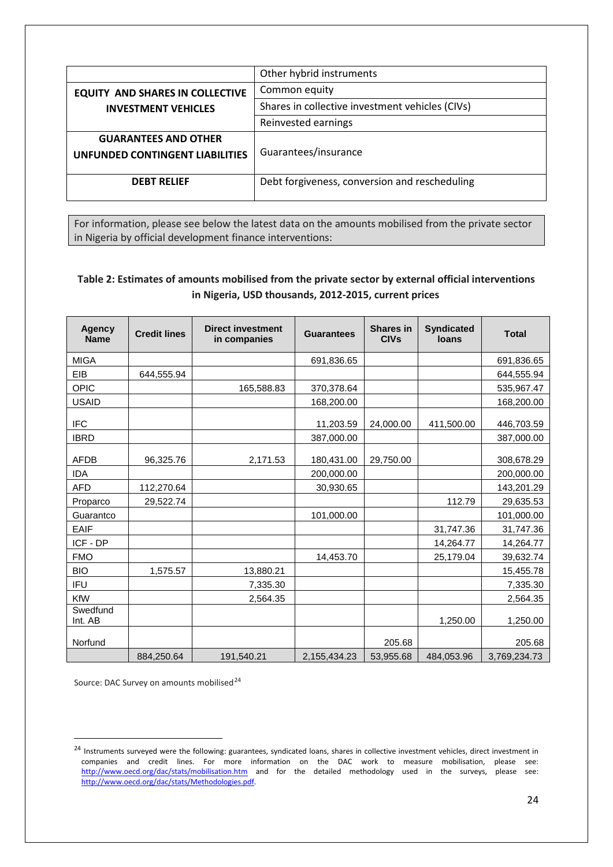|                                        | Other hybrid instruments                        |
|----------------------------------------|-------------------------------------------------|
| <b>EQUITY AND SHARES IN COLLECTIVE</b> | Common equity                                   |
| <b>INVESTMENT VEHICLES</b>             | Shares in collective investment vehicles (CIVs) |
|                                        | Reinvested earnings                             |
| <b>GUARANTEES AND OTHER</b>            |                                                 |
| <b>UNFUNDED CONTINGENT LIABILITIES</b> | Guarantees/insurance                            |
|                                        |                                                 |
| <b>DEBT RELIEF</b>                     | Debt forgiveness, conversion and rescheduling   |
|                                        |                                                 |

For information, please see below the latest data on the amounts mobilised from the private sector in Nigeria by official development finance interventions:

## **Table 2: Estimates of amounts mobilised from the private sector by external official interventions in Nigeria, USD thousands, 2012-2015, current prices**

| <b>Agency</b><br><b>Name</b> | <b>Credit lines</b> | <b>Direct investment</b><br>in companies | <b>Guarantees</b> | <b>Shares in</b><br><b>CIVs</b> | <b>Syndicated</b><br><b>loans</b> | <b>Total</b> |
|------------------------------|---------------------|------------------------------------------|-------------------|---------------------------------|-----------------------------------|--------------|
| <b>MIGA</b>                  |                     |                                          | 691,836.65        |                                 |                                   | 691,836.65   |
| EIB                          | 644,555.94          |                                          |                   |                                 |                                   | 644,555.94   |
| <b>OPIC</b>                  |                     | 165,588.83                               | 370,378.64        |                                 |                                   | 535,967.47   |
| <b>USAID</b>                 |                     |                                          | 168,200.00        |                                 |                                   | 168,200.00   |
| <b>IFC</b>                   |                     |                                          | 11,203.59         | 24,000.00                       | 411,500.00                        | 446,703.59   |
| <b>IBRD</b>                  |                     |                                          | 387,000.00        |                                 |                                   | 387,000.00   |
| <b>AFDB</b>                  | 96,325.76           | 2,171.53                                 | 180,431.00        | 29,750.00                       |                                   | 308,678.29   |
| <b>IDA</b>                   |                     |                                          | 200,000.00        |                                 |                                   | 200,000.00   |
| <b>AFD</b>                   | 112,270.64          |                                          | 30,930.65         |                                 |                                   | 143,201.29   |
| Proparco                     | 29,522.74           |                                          |                   |                                 | 112.79                            | 29,635.53    |
| Guarantco                    |                     |                                          | 101,000.00        |                                 |                                   | 101,000.00   |
| <b>EAIF</b>                  |                     |                                          |                   |                                 | 31,747.36                         | 31,747.36    |
| ICF - DP                     |                     |                                          |                   |                                 | 14,264.77                         | 14,264.77    |
| <b>FMO</b>                   |                     |                                          | 14,453.70         |                                 | 25,179.04                         | 39,632.74    |
| <b>BIO</b>                   | 1,575.57            | 13,880.21                                |                   |                                 |                                   | 15,455.78    |
| <b>IFU</b>                   |                     | 7,335.30                                 |                   |                                 |                                   | 7,335.30     |
| KfW                          |                     | 2,564.35                                 |                   |                                 |                                   | 2,564.35     |
| Swedfund<br>Int. AB          |                     |                                          |                   |                                 | 1,250.00                          | 1,250.00     |
| Norfund                      |                     |                                          |                   | 205.68                          |                                   | 205.68       |
|                              | 884,250.64          | 191,540.21                               | 2,155,434.23      | 53,955.68                       | 484,053.96                        | 3,769,234.73 |

Source: DAC Survey on amounts mobilised<sup>[24](#page-23-0)</sup>

<span id="page-23-0"></span><sup>&</sup>lt;sup>24</sup> Instruments surveyed were the following: guarantees, syndicated loans, shares in collective investment vehicles, direct investment in companies and credit lines. For more information on the DAC work to measure mobilisation, please see: <http://www.oecd.org/dac/stats/mobilisation.htm></u> and for the detailed methodology used in the surveys, please see: [http://www.oecd.org/dac/stats/Methodologies.pdf.](http://www.oecd.org/dac/stats/Methodologies.pdf)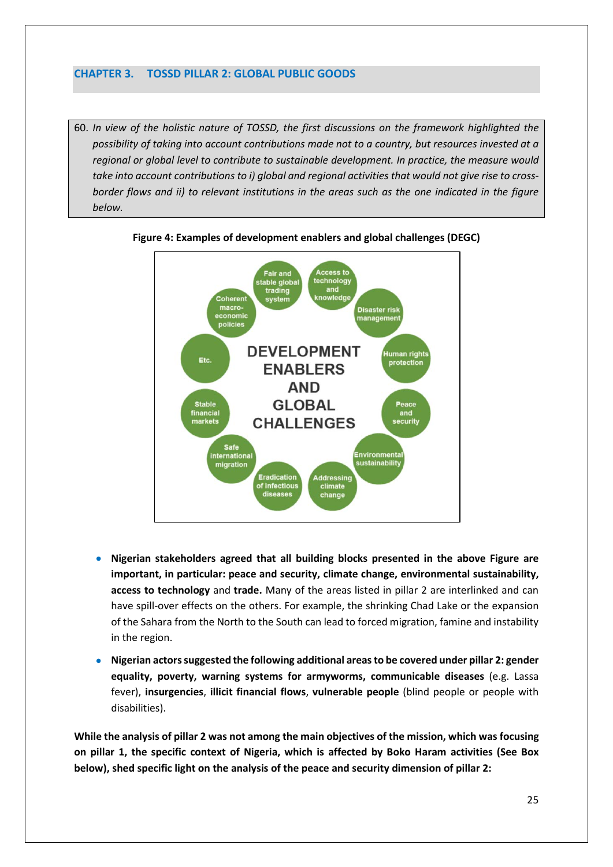### <span id="page-24-0"></span>**CHAPTER 3. TOSSD PILLAR 2: GLOBAL PUBLIC GOODS**

60. *In view of the holistic nature of TOSSD, the first discussions on the framework highlighted the possibility of taking into account contributions made not to a country, but resources invested at a regional or global level to contribute to sustainable development. In practice, the measure would take into account contributions to i) global and regional activities that would not give rise to crossborder flows and ii) to relevant institutions in the areas such as the one indicated in the figure below.*





- **Nigerian stakeholders agreed that all building blocks presented in the above Figure are important, in particular: peace and security, climate change, environmental sustainability, access to technology** and **trade.** Many of the areas listed in pillar 2 are interlinked and can have spill-over effects on the others. For example, the shrinking Chad Lake or the expansion of the Sahara from the North to the South can lead to forced migration, famine and instability in the region.
- **Nigerian actors suggested the following additional areas to be covered under pillar 2: gender equality, poverty, warning systems for armyworms, communicable diseases** (e.g. Lassa fever), **insurgencies**, **illicit financial flows**, **vulnerable people** (blind people or people with disabilities).

**While the analysis of pillar 2 was not among the main objectives of the mission, which was focusing on pillar 1, the specific context of Nigeria, which is affected by Boko Haram activities (See Box below), shed specific light on the analysis of the peace and security dimension of pillar 2:**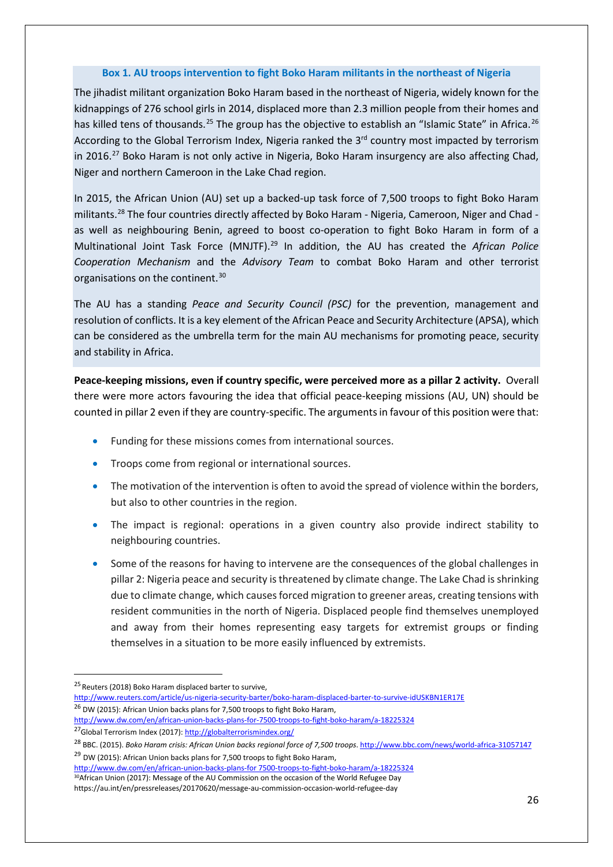#### **Box 1. AU troops intervention to fight Boko Haram militants in the northeast of Nigeria**

The jihadist militant organization Boko Haram based in the northeast of Nigeria, widely known for the kidnappings of 276 school girls in 2014, displaced more than 2.3 million people from their homes and has killed tens of thousands.<sup>[25](#page-25-0)</sup> The group has the objective to establish an "Islamic State" in Africa.<sup>[26](#page-25-1)</sup> According to the Global Terrorism Index, Nigeria ranked the 3<sup>rd</sup> country most impacted by terrorism in 2016.<sup>[27](#page-25-2)</sup> Boko Haram is not only active in Nigeria, Boko Haram insurgency are also affecting Chad, Niger and northern Cameroon in the Lake Chad region.

In 2015, the African Union (AU) set up a backed-up task force of 7,500 troops to fight Boko Haram militants.<sup>28</sup> The four countries directly affected by Boko Haram - Nigeria, Cameroon, Niger and Chad as well as neighbouring Benin, agreed to boost co-operation to fight Boko Haram in form of a Multinational Joint Task Force (MNJTF).[29](#page-25-4) In addition, the AU has created the *African Police Cooperation Mechanism* and the *Advisory Team* to combat Boko Haram and other terrorist organisations on the continent.<sup>[30](#page-25-5)</sup>

The AU has a standing *Peace and Security Council (PSC)* for the prevention, management and resolution of conflicts. It is a key element of the African Peace and Security Architecture (APSA), which can be considered as the umbrella term for the main AU mechanisms for promoting peace, security and stability in Africa.

**Peace-keeping missions, even if country specific, were perceived more as a pillar 2 activity.** Overall there were more actors favouring the idea that official peace-keeping missions (AU, UN) should be counted in pillar 2 even if they are country-specific. The arguments in favour of this position were that:

- Funding for these missions comes from international sources.
- Troops come from regional or international sources.
- The motivation of the intervention is often to avoid the spread of violence within the borders, but also to other countries in the region.
- The impact is regional: operations in a given country also provide indirect stability to neighbouring countries.
- Some of the reasons for having to intervene are the consequences of the global challenges in pillar 2: Nigeria peace and security is threatened by climate change. The Lake Chad is shrinking due to climate change, which causes forced migration to greener areas, creating tensions with resident communities in the north of Nigeria. Displaced people find themselves unemployed and away from their homes representing easy targets for extremist groups or finding themselves in a situation to be more easily influenced by extremists.

<span id="page-25-5"></span>[http://www.dw.com/en/african-union-backs-plans-for 7500-troops-to-fight-boko-haram/a-18225324](http://www.dw.com/en/african-union-backs-plans-for%207500-troops-to-fight-boko-haram/a-18225324) 30African Union (2017): Message of the AU Commission on the occasion of the World Refugee Day <https://au.int/en/pressreleases/20170620/message-au-commission-occasion-world-refugee-day>

<span id="page-25-0"></span><sup>&</sup>lt;sup>25</sup> Reuters (2018) Boko Haram displaced barter to survive,

<http://www.reuters.com/article/us-nigeria-security-barter/boko-haram-displaced-barter-to-survive-idUSKBN1ER17E>  $26$  DW (2015): African Union backs plans for 7,500 troops to fight Boko Haram,

<span id="page-25-1"></span><http://www.dw.com/en/african-union-backs-plans-for-7500-troops-to-fight-boko-haram/a-18225324>

<span id="page-25-2"></span><sup>&</sup>lt;sup>27</sup>Global Terrorism Index (2017)[: http://globalterrorismindex.org/](http://globalterrorismindex.org/)

<span id="page-25-4"></span><span id="page-25-3"></span><sup>&</sup>lt;sup>28</sup> BBC. (2015). *Boko Haram crisis: African Union backs regional force of 7,500 troops*. http://www.bbc.com/news/world-africa-31057147<br><sup>29</sup> DW (2015): African Union backs plans for 7,500 troops to fight Boko Haram,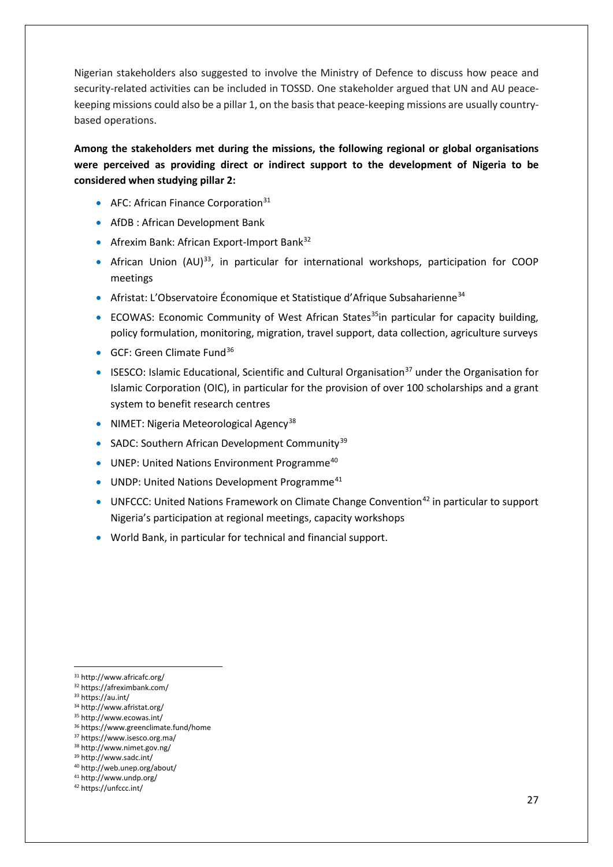Nigerian stakeholders also suggested to involve the Ministry of Defence to discuss how peace and security-related activities can be included in TOSSD. One stakeholder argued that UN and AU peacekeeping missions could also be a pillar 1, on the basis that peace-keeping missions are usually countrybased operations.

**Among the stakeholders met during the missions, the following regional or global organisations were perceived as providing direct or indirect support to the development of Nigeria to be considered when studying pillar 2:**

- AFC: African Finance Corporation $31$
- AfDB : African Development Bank
- Afrexim Bank: African Export-Import Bank<sup>[32](#page-26-1)</sup>
- African Union (AU)[33](#page-26-2), in particular for international workshops, participation for COOP meetings
- Afristat: L'Observatoire Économique et Statistique d'Afrique Subsaharienne<sup>[34](#page-26-3)</sup>
- ECOWAS: Economic Community of West African States<sup>35</sup>in particular for capacity building, policy formulation, monitoring, migration, travel support, data collection, agriculture surveys
- GCF: Green Climate Fund<sup>[36](#page-26-5)</sup>
- ISESCO: Islamic Educational, Scientific and Cultural Organisation<sup>[37](#page-26-6)</sup> under the Organisation for Islamic Corporation (OIC), in particular for the provision of over 100 scholarships and a grant system to benefit research centres
- NIMET: Nigeria Meteorological Agency<sup>[38](#page-26-7)</sup>
- SADC: Southern African Development Community<sup>[39](#page-26-8)</sup>
- UNEP: United Nations Environment Programme<sup>[40](#page-26-9)</sup>
- UNDP: United Nations Development Programme<sup>[41](#page-26-10)</sup>
- UNFCCC: United Nations Framework on Climate Change Convention<sup>[42](#page-26-11)</sup> in particular to support Nigeria's participation at regional meetings, capacity workshops
- World Bank, in particular for technical and financial support.

<sup>36</sup> https://www.greenclimate.fund/home

<span id="page-26-0"></span> <sup>31</sup> http://www.africafc.org/

<span id="page-26-1"></span><sup>32</sup> https://afreximbank.com/

<span id="page-26-2"></span><sup>33</sup> https://au.int/

<span id="page-26-4"></span><span id="page-26-3"></span><sup>34</sup> http://www.afristat.org/

<sup>35</sup> http://www.ecowas.int/

<span id="page-26-7"></span><span id="page-26-6"></span><span id="page-26-5"></span><sup>37</sup> https://www.isesco.org.ma/ <sup>38</sup> http://www.nimet.gov.ng/

<sup>39</sup> http://www.sadc.int/

<span id="page-26-8"></span><sup>40</sup> http://web.unep.org/about/

<span id="page-26-10"></span><span id="page-26-9"></span><sup>41</sup> http://www.undp.org/

<span id="page-26-11"></span><sup>42</sup> https://unfccc.int/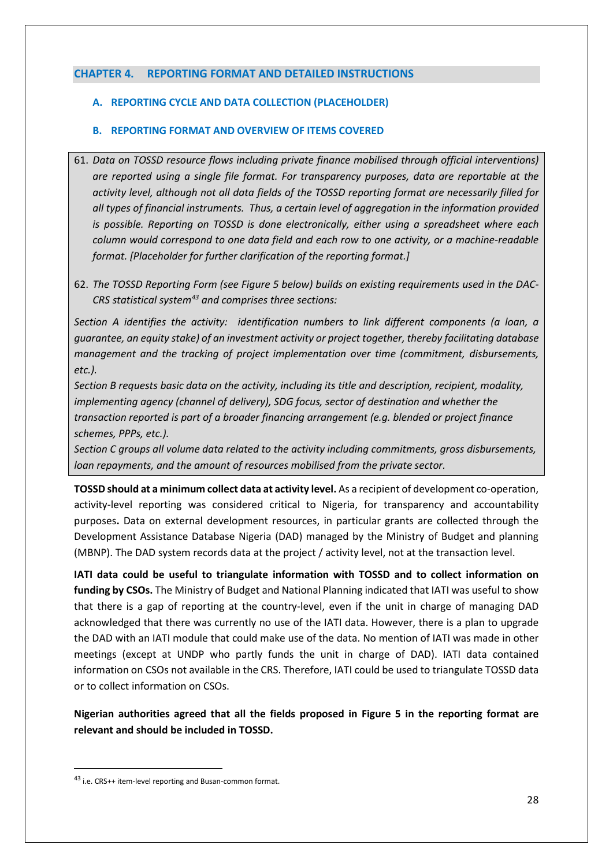### <span id="page-27-0"></span>**CHAPTER 4. REPORTING FORMAT AND DETAILED INSTRUCTIONS**

### <span id="page-27-1"></span>**A. REPORTING CYCLE AND DATA COLLECTION (PLACEHOLDER)**

### <span id="page-27-2"></span>**B. REPORTING FORMAT AND OVERVIEW OF ITEMS COVERED**

- 61. *Data on TOSSD resource flows including private finance mobilised through official interventions) are reported using a single file format. For transparency purposes, data are reportable at the activity level, although not all data fields of the TOSSD reporting format are necessarily filled for all types of financial instruments. Thus, a certain level of aggregation in the information provided is possible. Reporting on TOSSD is done electronically, either using a spreadsheet where each column would correspond to one data field and each row to one activity, or a machine-readable format. [Placeholder for further clarification of the reporting format.]*
- 62. *The TOSSD Reporting Form (see Figure 5 below) builds on existing requirements used in the DAC-CRS statistical system[43](#page-27-3) and comprises three sections:*

*Section A identifies the activity: identification numbers to link different components (a loan, a guarantee, an equity stake) of an investment activity or project together, thereby facilitating database management and the tracking of project implementation over time (commitment, disbursements, etc.).*

*Section B requests basic data on the activity, including its title and description, recipient, modality, implementing agency (channel of delivery), SDG focus, sector of destination and whether the transaction reported is part of a broader financing arrangement (e.g. blended or project finance schemes, PPPs, etc.).*

*Section C groups all volume data related to the activity including commitments, gross disbursements, loan repayments, and the amount of resources mobilised from the private sector.*

**TOSSD should at a minimum collect data at activity level.** As a recipient of development co-operation, activity-level reporting was considered critical to Nigeria, for transparency and accountability purposes**.** Data on external development resources, in particular grants are collected through the Development Assistance Database Nigeria (DAD) managed by the Ministry of Budget and planning (MBNP). The DAD system records data at the project / activity level, not at the transaction level.

**IATI data could be useful to triangulate information with TOSSD and to collect information on funding by CSOs.** The Ministry of Budget and National Planning indicated that IATI was useful to show that there is a gap of reporting at the country-level, even if the unit in charge of managing DAD acknowledged that there was currently no use of the IATI data. However, there is a plan to upgrade the DAD with an IATI module that could make use of the data. No mention of IATI was made in other meetings (except at UNDP who partly funds the unit in charge of DAD). IATI data contained information on CSOs not available in the CRS. Therefore, IATI could be used to triangulate TOSSD data or to collect information on CSOs.

**Nigerian authorities agreed that all the fields proposed in Figure 5 in the reporting format are relevant and should be included in TOSSD.** 

<span id="page-27-3"></span> <sup>43</sup> i.e. CRS++ item-level reporting and Busan-common format.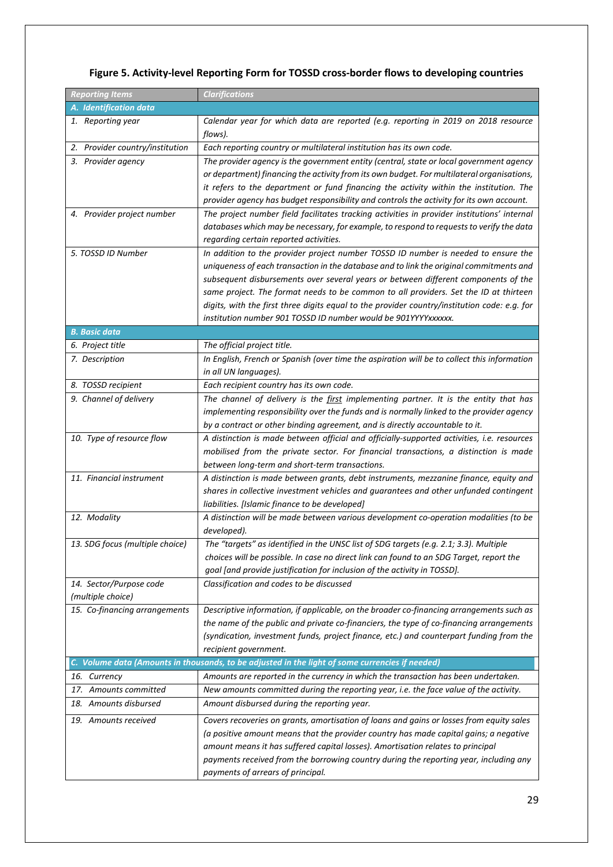| <b>Reporting Items</b>          | <b>Clarifications</b>                                                                           |
|---------------------------------|-------------------------------------------------------------------------------------------------|
| A. Identification data          |                                                                                                 |
| 1. Reporting year               | Calendar year for which data are reported (e.g. reporting in 2019 on 2018 resource              |
|                                 | flows).                                                                                         |
| 2. Provider country/institution | Each reporting country or multilateral institution has its own code.                            |
| 3. Provider agency              | The provider agency is the government entity (central, state or local government agency         |
|                                 | or department) financing the activity from its own budget. For multilateral organisations,      |
|                                 | it refers to the department or fund financing the activity within the institution. The          |
|                                 | provider agency has budget responsibility and controls the activity for its own account.        |
| 4. Provider project number      | The project number field facilitates tracking activities in provider institutions' internal     |
|                                 | databases which may be necessary, for example, to respond to requests to verify the data        |
|                                 | regarding certain reported activities.                                                          |
| 5. TOSSD ID Number              | In addition to the provider project number TOSSD ID number is needed to ensure the              |
|                                 | uniqueness of each transaction in the database and to link the original commitments and         |
|                                 | subsequent disbursements over several years or between different components of the              |
|                                 | same project. The format needs to be common to all providers. Set the ID at thirteen            |
|                                 | digits, with the first three digits equal to the provider country/institution code: e.g. for    |
|                                 | institution number 901 TOSSD ID number would be 901YYYYxxxxxx.                                  |
| <b>B. Basic data</b>            |                                                                                                 |
| 6. Project title                | The official project title.                                                                     |
| 7. Description                  | In English, French or Spanish (over time the aspiration will be to collect this information     |
|                                 | in all UN languages).                                                                           |
| 8. TOSSD recipient              | Each recipient country has its own code.                                                        |
| 9. Channel of delivery          | The channel of delivery is the first implementing partner. It is the entity that has            |
|                                 | implementing responsibility over the funds and is normally linked to the provider agency        |
|                                 | by a contract or other binding agreement, and is directly accountable to it.                    |
| 10. Type of resource flow       | A distinction is made between official and officially-supported activities, i.e. resources      |
|                                 | mobilised from the private sector. For financial transactions, a distinction is made            |
|                                 | between long-term and short-term transactions.                                                  |
| 11. Financial instrument        | A distinction is made between grants, debt instruments, mezzanine finance, equity and           |
|                                 | shares in collective investment vehicles and guarantees and other unfunded contingent           |
|                                 | liabilities. [Islamic finance to be developed]                                                  |
| 12. Modality                    | A distinction will be made between various development co-operation modalities (to be           |
|                                 | developed).                                                                                     |
| 13. SDG focus (multiple choice) | The "targets" as identified in the UNSC list of SDG targets (e.g. 2.1; 3.3). Multiple           |
|                                 | choices will be possible. In case no direct link can found to an SDG Target, report the         |
|                                 | goal [and provide justification for inclusion of the activity in TOSSD].                        |
| 14. Sector/Purpose code         | Classification and codes to be discussed                                                        |
| (multiple choice)               |                                                                                                 |
| 15. Co-financing arrangements   | Descriptive information, if applicable, on the broader co-financing arrangements such as        |
|                                 | the name of the public and private co-financiers, the type of co-financing arrangements         |
|                                 | (syndication, investment funds, project finance, etc.) and counterpart funding from the         |
|                                 | recipient government.                                                                           |
|                                 | C. Volume data (Amounts in thousands, to be adjusted in the light of some currencies if needed) |
| 16. Currency                    | Amounts are reported in the currency in which the transaction has been undertaken.              |
| 17. Amounts committed           | New amounts committed during the reporting year, i.e. the face value of the activity.           |
| 18. Amounts disbursed           | Amount disbursed during the reporting year.                                                     |
| 19. Amounts received            | Covers recoveries on grants, amortisation of loans and gains or losses from equity sales        |
|                                 | (a positive amount means that the provider country has made capital gains; a negative           |
|                                 | amount means it has suffered capital losses). Amortisation relates to principal                 |
|                                 | payments received from the borrowing country during the reporting year, including any           |
|                                 | payments of arrears of principal.                                                               |

## **Figure 5. Activity-level Reporting Form for TOSSD cross-border flows to developing countries**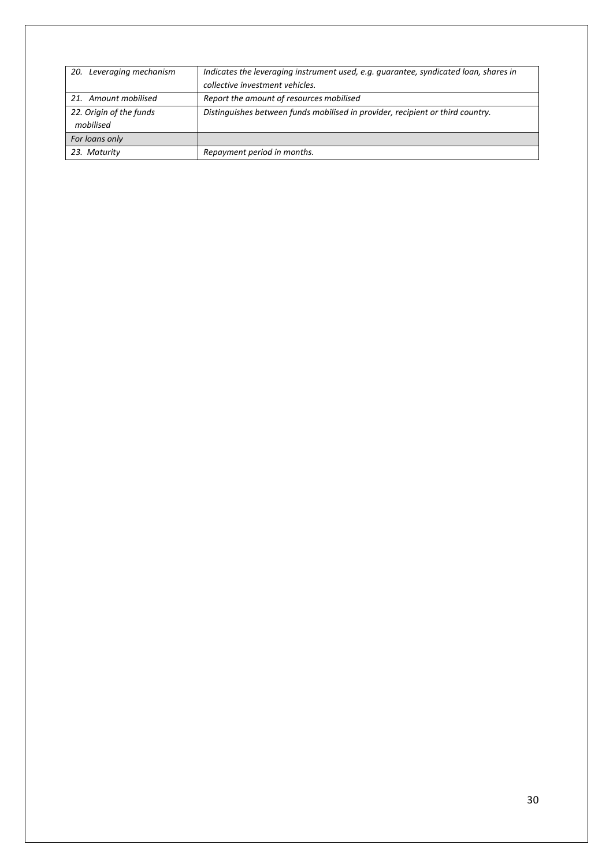| 20. Leveraging mechanism | Indicates the leveraging instrument used, e.g. guarantee, syndicated loan, shares in |  |
|--------------------------|--------------------------------------------------------------------------------------|--|
|                          | collective investment vehicles.                                                      |  |
| 21. Amount mobilised     | Report the amount of resources mobilised                                             |  |
| 22. Origin of the funds  | Distinguishes between funds mobilised in provider, recipient or third country.       |  |
| mobilised                |                                                                                      |  |
| For loans only           |                                                                                      |  |
| 23. Maturity             | Repayment period in months.                                                          |  |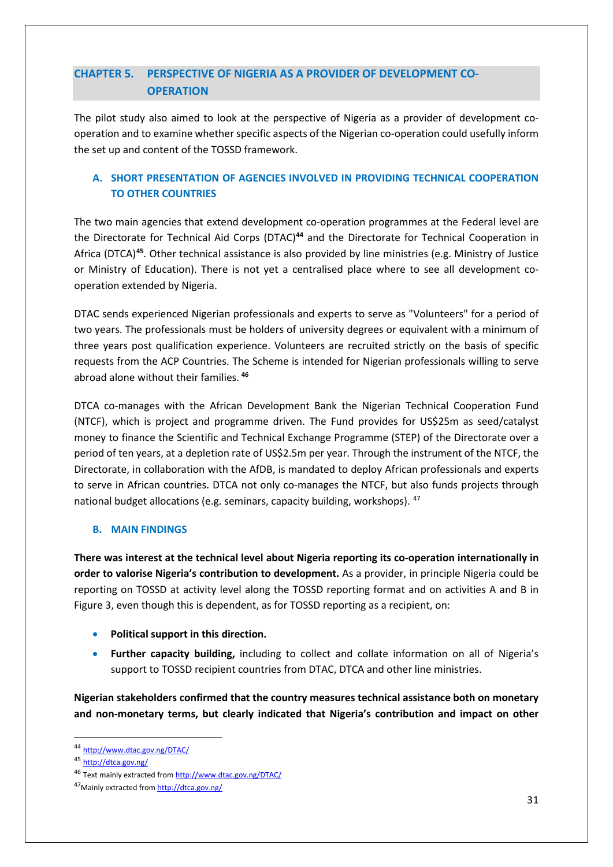# <span id="page-30-0"></span>**CHAPTER 5. PERSPECTIVE OF NIGERIA AS A PROVIDER OF DEVELOPMENT CO-OPERATION**

The pilot study also aimed to look at the perspective of Nigeria as a provider of development cooperation and to examine whether specific aspects of the Nigerian co-operation could usefully inform the set up and content of the TOSSD framework.

### <span id="page-30-1"></span>**A. SHORT PRESENTATION OF AGENCIES INVOLVED IN PROVIDING TECHNICAL COOPERATION TO OTHER COUNTRIES**

The two main agencies that extend development co-operation programmes at the Federal level are the Directorate for Technical Aid Corps (DTAC)**[44](#page-30-3)** and the Directorate for Technical Cooperation in Africa (DTCA)**[45](#page-30-4)**. Other technical assistance is also provided by line ministries (e.g. Ministry of Justice or Ministry of Education). There is not yet a centralised place where to see all development cooperation extended by Nigeria.

DTAC sends experienced Nigerian professionals and experts to serve as "Volunteers" for a period of two years. The professionals must be holders of university degrees or equivalent with a minimum of three years post qualification experience. Volunteers are recruited strictly on the basis of specific requests from the ACP Countries. The Scheme is intended for Nigerian professionals willing to serve abroad alone without their families. **[46](#page-30-5)**

DTCA co-manages with the African Development Bank the Nigerian Technical Cooperation Fund (NTCF), which is project and programme driven. The Fund provides for US\$25m as seed/catalyst money to finance the Scientific and Technical Exchange Programme (STEP) of the Directorate over a period of ten years, at a depletion rate of US\$2.5m per year. Through the instrument of the NTCF, the Directorate, in collaboration with the AfDB, is mandated to deploy African professionals and experts to serve in African countries. DTCA not only co-manages the NTCF, but also funds projects through national budget allocations (e.g. seminars, capacity building, workshops). [47](#page-30-6)

### <span id="page-30-2"></span>**B. MAIN FINDINGS**

**There was interest at the technical level about Nigeria reporting its co-operation internationally in order to valorise Nigeria's contribution to development.** As a provider, in principle Nigeria could be reporting on TOSSD at activity level along the TOSSD reporting format and on activities A and B in Figure 3, even though this is dependent, as for TOSSD reporting as a recipient, on:

- **Political support in this direction.**
- **Further capacity building,** including to collect and collate information on all of Nigeria's support to TOSSD recipient countries from DTAC, DTCA and other line ministries.

**Nigerian stakeholders confirmed that the country measures technical assistance both on monetary and non-monetary terms, but clearly indicated that Nigeria's contribution and impact on other** 

<span id="page-30-3"></span> <sup>44</sup> <http://www.dtac.gov.ng/DTAC/>

<span id="page-30-4"></span><sup>45</sup> <http://dtca.gov.ng/>

<span id="page-30-5"></span><sup>46</sup> Text mainly extracted fro[m http://www.dtac.gov.ng/DTAC/](http://www.dtac.gov.ng/DTAC/)

<span id="page-30-6"></span><sup>47</sup> Mainly extracted fro[m http://dtca.gov.ng/](http://dtca.gov.ng/)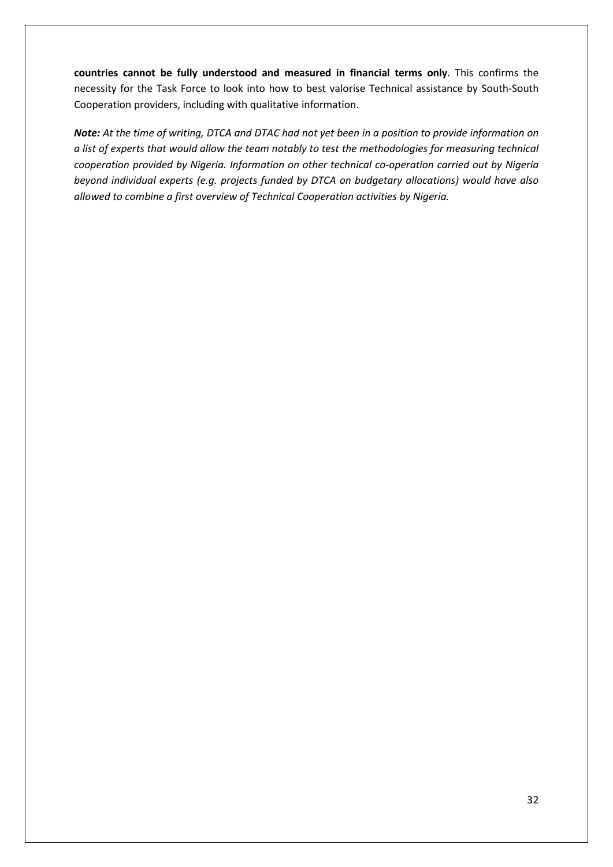**countries cannot be fully understood and measured in financial terms only**. This confirms the necessity for the Task Force to look into how to best valorise Technical assistance by South-South Cooperation providers, including with qualitative information.

*Note: At the time of writing, DTCA and DTAC had not yet been in a position to provide information on a list of experts that would allow the team notably to test the methodologies for measuring technical cooperation provided by Nigeria. Information on other technical co-operation carried out by Nigeria beyond individual experts (e.g. projects funded by DTCA on budgetary allocations) would have also allowed to combine a first overview of Technical Cooperation activities by Nigeria.*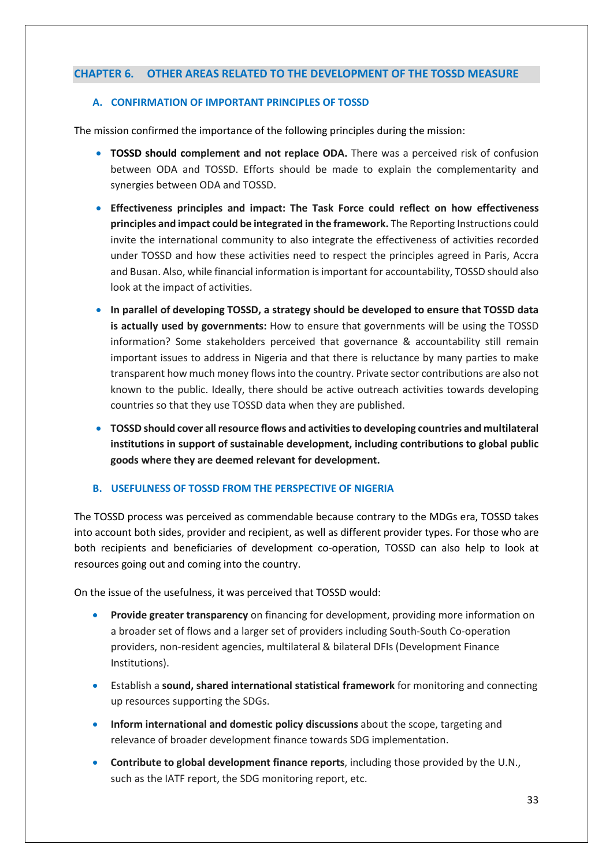### <span id="page-32-0"></span>**CHAPTER 6. OTHER AREAS RELATED TO THE DEVELOPMENT OF THE TOSSD MEASURE**

#### <span id="page-32-1"></span>**A. CONFIRMATION OF IMPORTANT PRINCIPLES OF TOSSD**

The mission confirmed the importance of the following principles during the mission:

- **TOSSD should complement and not replace ODA.** There was a perceived risk of confusion between ODA and TOSSD. Efforts should be made to explain the complementarity and synergies between ODA and TOSSD.
- **Effectiveness principles and impact: The Task Force could reflect on how effectiveness principles and impact could be integrated in the framework.** The Reporting Instructions could invite the international community to also integrate the effectiveness of activities recorded under TOSSD and how these activities need to respect the principles agreed in Paris, Accra and Busan. Also, while financial information is important for accountability, TOSSD should also look at the impact of activities.
- **In parallel of developing TOSSD, a strategy should be developed to ensure that TOSSD data is actually used by governments:** How to ensure that governments will be using the TOSSD information? Some stakeholders perceived that governance & accountability still remain important issues to address in Nigeria and that there is reluctance by many parties to make transparent how much money flows into the country. Private sector contributions are also not known to the public. Ideally, there should be active outreach activities towards developing countries so that they use TOSSD data when they are published.
- **TOSSD should cover all resource flows and activities to developing countries and multilateral institutions in support of sustainable development, including contributions to global public goods where they are deemed relevant for development.**

#### <span id="page-32-2"></span>**B. USEFULNESS OF TOSSD FROM THE PERSPECTIVE OF NIGERIA**

The TOSSD process was perceived as commendable because contrary to the MDGs era, TOSSD takes into account both sides, provider and recipient, as well as different provider types. For those who are both recipients and beneficiaries of development co-operation, TOSSD can also help to look at resources going out and coming into the country.

On the issue of the usefulness, it was perceived that TOSSD would:

- **Provide greater transparency** on financing for development, providing more information on a broader set of flows and a larger set of providers including South-South Co-operation providers, non-resident agencies, multilateral & bilateral DFIs (Development Finance Institutions).
- Establish a **sound, shared international statistical framework** for monitoring and connecting up resources supporting the SDGs.
- **Inform international and domestic policy discussions** about the scope, targeting and relevance of broader development finance towards SDG implementation.
- **Contribute to global development finance reports**, including those provided by the U.N., such as the IATF report, the SDG monitoring report, etc.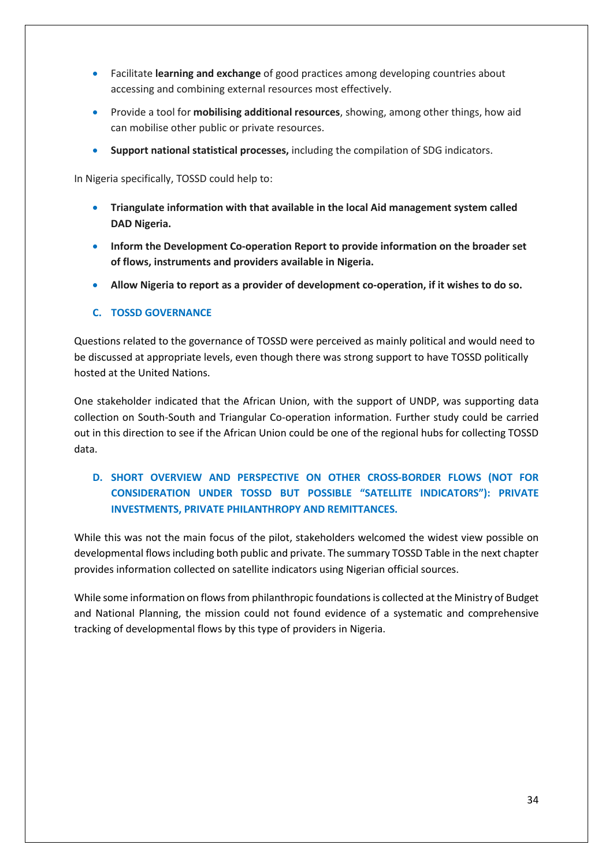- Facilitate **learning and exchange** of good practices among developing countries about accessing and combining external resources most effectively.
- Provide a tool for **mobilising additional resources**, showing, among other things, how aid can mobilise other public or private resources.
- **Support national statistical processes,** including the compilation of SDG indicators.

In Nigeria specifically, TOSSD could help to:

- **Triangulate information with that available in the local Aid management system called DAD Nigeria.**
- **Inform the Development Co-operation Report to provide information on the broader set of flows, instruments and providers available in Nigeria.**
- **Allow Nigeria to report as a provider of development co-operation, if it wishes to do so.**

### <span id="page-33-0"></span>**C. TOSSD GOVERNANCE**

Questions related to the governance of TOSSD were perceived as mainly political and would need to be discussed at appropriate levels, even though there was strong support to have TOSSD politically hosted at the United Nations.

One stakeholder indicated that the African Union, with the support of UNDP, was supporting data collection on South-South and Triangular Co-operation information. Further study could be carried out in this direction to see if the African Union could be one of the regional hubs for collecting TOSSD data.

## <span id="page-33-1"></span>**D. SHORT OVERVIEW AND PERSPECTIVE ON OTHER CROSS-BORDER FLOWS (NOT FOR CONSIDERATION UNDER TOSSD BUT POSSIBLE "SATELLITE INDICATORS"): PRIVATE INVESTMENTS, PRIVATE PHILANTHROPY AND REMITTANCES.**

While this was not the main focus of the pilot, stakeholders welcomed the widest view possible on developmental flows including both public and private. The summary TOSSD Table in the next chapter provides information collected on satellite indicators using Nigerian official sources.

While some information on flows from philanthropic foundations is collected at the Ministry of Budget and National Planning, the mission could not found evidence of a systematic and comprehensive tracking of developmental flows by this type of providers in Nigeria.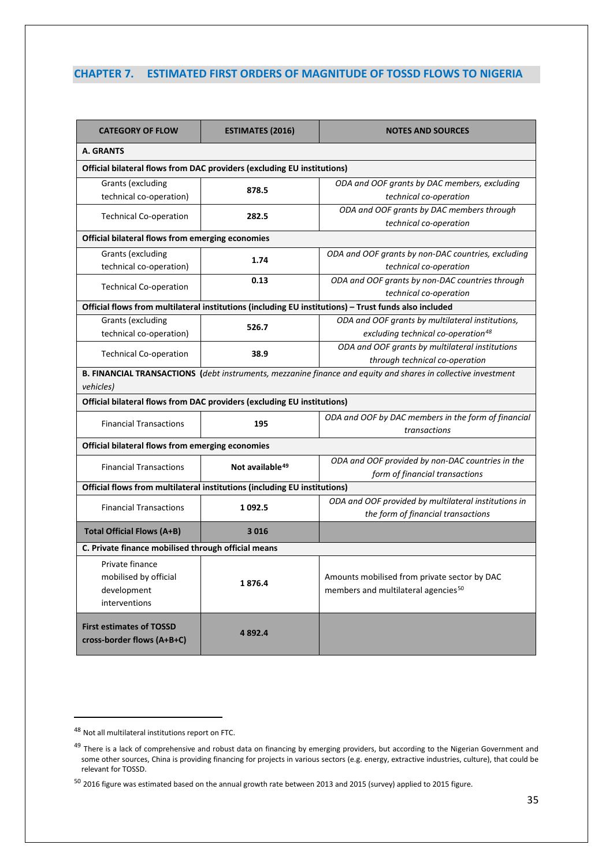### <span id="page-34-0"></span>**CHAPTER 7. ESTIMATED FIRST ORDERS OF MAGNITUDE OF TOSSD FLOWS TO NIGERIA**

| <b>CATEGORY OF FLOW</b>                                                 | <b>ESTIMATES (2016)</b>                                                                                       | <b>NOTES AND SOURCES</b>                                                                              |  |  |  |
|-------------------------------------------------------------------------|---------------------------------------------------------------------------------------------------------------|-------------------------------------------------------------------------------------------------------|--|--|--|
| A. GRANTS                                                               |                                                                                                               |                                                                                                       |  |  |  |
|                                                                         | Official bilateral flows from DAC providers (excluding EU institutions)                                       |                                                                                                       |  |  |  |
| Grants (excluding                                                       | 878.5                                                                                                         | ODA and OOF grants by DAC members, excluding                                                          |  |  |  |
| technical co-operation)                                                 |                                                                                                               | technical co-operation                                                                                |  |  |  |
| <b>Technical Co-operation</b>                                           | 282.5                                                                                                         | ODA and OOF grants by DAC members through                                                             |  |  |  |
|                                                                         |                                                                                                               | technical co-operation                                                                                |  |  |  |
| Official bilateral flows from emerging economies                        |                                                                                                               |                                                                                                       |  |  |  |
| Grants (excluding                                                       | 1.74                                                                                                          | ODA and OOF grants by non-DAC countries, excluding                                                    |  |  |  |
| technical co-operation)                                                 |                                                                                                               | technical co-operation                                                                                |  |  |  |
|                                                                         | 0.13                                                                                                          | ODA and OOF grants by non-DAC countries through                                                       |  |  |  |
| <b>Technical Co-operation</b>                                           |                                                                                                               | technical co-operation                                                                                |  |  |  |
|                                                                         |                                                                                                               | Official flows from multilateral institutions (including EU institutions) - Trust funds also included |  |  |  |
| <b>Grants (excluding</b>                                                | 526.7                                                                                                         | ODA and OOF grants by multilateral institutions,                                                      |  |  |  |
| technical co-operation)                                                 |                                                                                                               | excluding technical co-operation <sup>48</sup>                                                        |  |  |  |
|                                                                         | 38.9                                                                                                          | ODA and OOF grants by multilateral institutions                                                       |  |  |  |
| <b>Technical Co-operation</b>                                           |                                                                                                               | through technical co-operation                                                                        |  |  |  |
| vehicles)                                                               | B. FINANCIAL TRANSACTIONS (debt instruments, mezzanine finance and equity and shares in collective investment |                                                                                                       |  |  |  |
| Official bilateral flows from DAC providers (excluding EU institutions) |                                                                                                               |                                                                                                       |  |  |  |
|                                                                         |                                                                                                               | ODA and OOF by DAC members in the form of financial                                                   |  |  |  |
| <b>Financial Transactions</b>                                           | 195                                                                                                           | transactions                                                                                          |  |  |  |
|                                                                         | Official bilateral flows from emerging economies                                                              |                                                                                                       |  |  |  |
| <b>Financial Transactions</b>                                           | Not available <sup>49</sup>                                                                                   | ODA and OOF provided by non-DAC countries in the                                                      |  |  |  |
|                                                                         |                                                                                                               | form of financial transactions                                                                        |  |  |  |
|                                                                         | Official flows from multilateral institutions (including EU institutions)                                     |                                                                                                       |  |  |  |
| <b>Financial Transactions</b>                                           | 1 0 9 2.5                                                                                                     | ODA and OOF provided by multilateral institutions in                                                  |  |  |  |
|                                                                         |                                                                                                               | the form of financial transactions                                                                    |  |  |  |
| Total Official Flows (A+B)                                              | 3016                                                                                                          |                                                                                                       |  |  |  |
| C. Private finance mobilised through official means                     |                                                                                                               |                                                                                                       |  |  |  |
| Private finance                                                         |                                                                                                               |                                                                                                       |  |  |  |
| mobilised by official                                                   |                                                                                                               | Amounts mobilised from private sector by DAC                                                          |  |  |  |
| development                                                             | 1876.4                                                                                                        | members and multilateral agencies <sup>50</sup>                                                       |  |  |  |
| interventions                                                           |                                                                                                               |                                                                                                       |  |  |  |
|                                                                         |                                                                                                               |                                                                                                       |  |  |  |
| <b>First estimates of TOSSD</b><br>cross-border flows (A+B+C)           | 4892.4                                                                                                        |                                                                                                       |  |  |  |

 $\overline{a}$ 

<span id="page-34-1"></span><sup>48</sup> Not all multilateral institutions report on FTC.

<span id="page-34-2"></span><sup>&</sup>lt;sup>49</sup> There is a lack of comprehensive and robust data on financing by emerging providers, but according to the Nigerian Government and some other sources, China is providing financing for projects in various sectors (e.g. energy, extractive industries, culture), that could be relevant for TOSSD.

<span id="page-34-3"></span> $50$  2016 figure was estimated based on the annual growth rate between 2013 and 2015 (survey) applied to 2015 figure.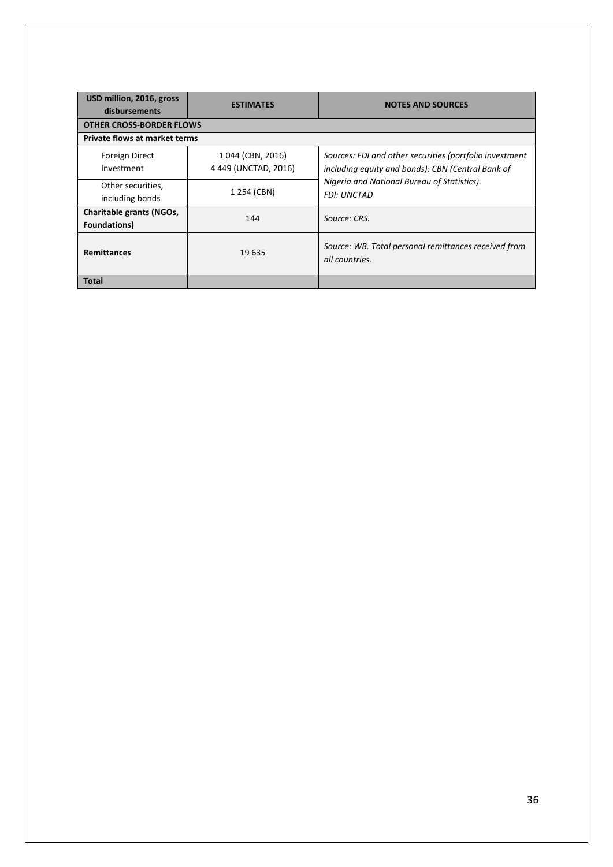| USD million, 2016, gross<br>disbursements | <b>ESTIMATES</b>                         | <b>NOTES AND SOURCES</b>                                                                                     |
|-------------------------------------------|------------------------------------------|--------------------------------------------------------------------------------------------------------------|
| <b>OTHER CROSS-BORDER FLOWS</b>           |                                          |                                                                                                              |
| <b>Private flows at market terms</b>      |                                          |                                                                                                              |
| <b>Foreign Direct</b><br>Investment       | 1044 (CBN, 2016)<br>4 449 (UNCTAD, 2016) | Sources: FDI and other securities (portfolio investment<br>including equity and bonds): CBN (Central Bank of |
| Other securities,<br>including bonds      | 1 254 (CBN)                              | Nigeria and National Bureau of Statistics).<br><b>FDI: UNCTAD</b>                                            |
| Charitable grants (NGOs,<br>Foundations)  | 144                                      | Source: CRS.                                                                                                 |
| <b>Remittances</b>                        | 19 635                                   | Source: WB. Total personal remittances received from<br>all countries.                                       |
| Total                                     |                                          |                                                                                                              |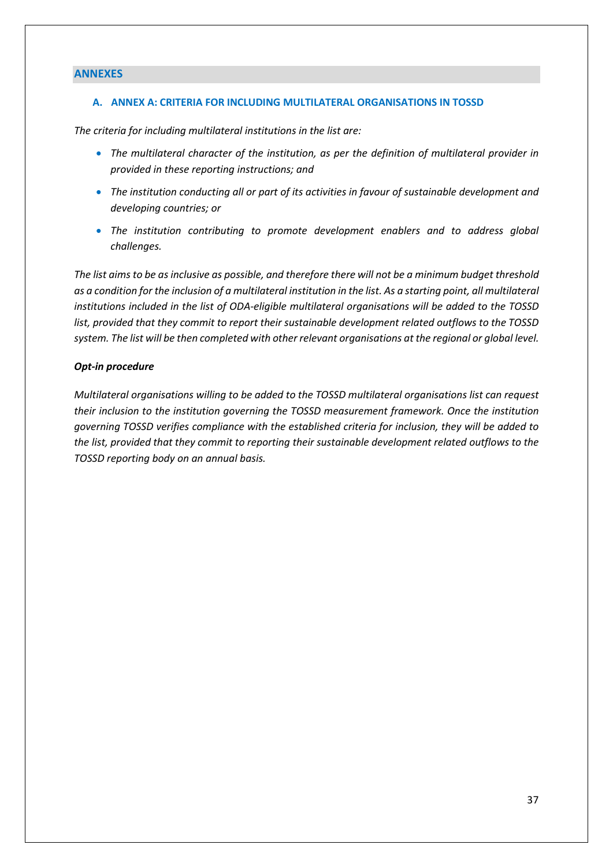### <span id="page-36-0"></span>**ANNEXES**

#### <span id="page-36-1"></span>**A. ANNEX A: CRITERIA FOR INCLUDING MULTILATERAL ORGANISATIONS IN TOSSD**

*The criteria for including multilateral institutions in the list are:* 

- *The multilateral character of the institution, as per the definition of multilateral provider in provided in these reporting instructions; and*
- *The institution conducting all or part of its activities in favour of sustainable development and developing countries; or*
- *The institution contributing to promote development enablers and to address global challenges.*

*The list aims to be as inclusive as possible, and therefore there will not be a minimum budget threshold*  as a condition for the inclusion of a multilateral institution in the list. As a starting point, all multilateral *institutions included in the list of ODA-eligible multilateral organisations will be added to the TOSSD list, provided that they commit to report their sustainable development related outflows to the TOSSD system. The list will be then completed with other relevant organisations at the regional or global level.*

#### *Opt-in procedure*

*Multilateral organisations willing to be added to the TOSSD multilateral organisations list can request their inclusion to the institution governing the TOSSD measurement framework. Once the institution governing TOSSD verifies compliance with the established criteria for inclusion, they will be added to the list, provided that they commit to reporting their sustainable development related outflows to the TOSSD reporting body on an annual basis.*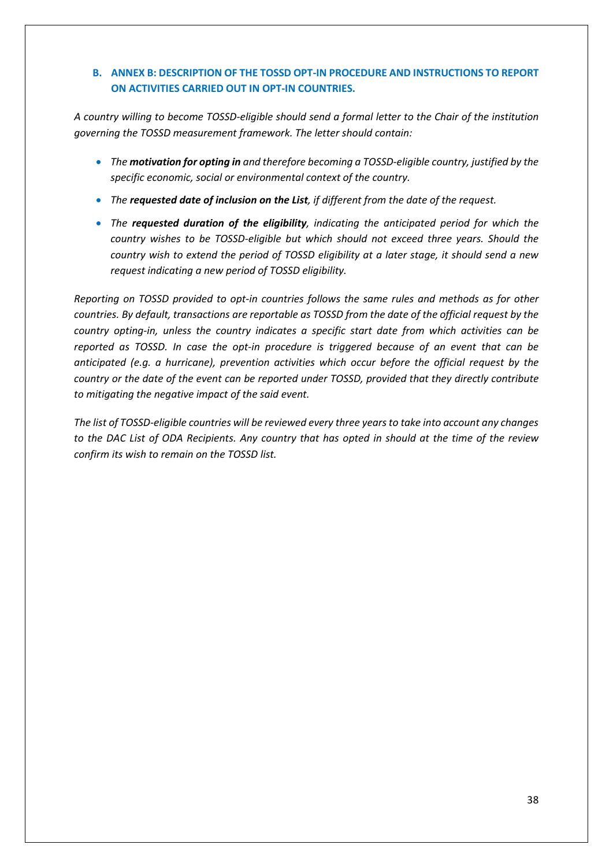### <span id="page-37-0"></span>**B. ANNEX B: DESCRIPTION OF THE TOSSD OPT-IN PROCEDURE AND INSTRUCTIONS TO REPORT ON ACTIVITIES CARRIED OUT IN OPT-IN COUNTRIES.**

*A country willing to become TOSSD-eligible should send a formal letter to the Chair of the institution governing the TOSSD measurement framework. The letter should contain:* 

- *The motivation for opting in and therefore becoming a TOSSD-eligible country, justified by the specific economic, social or environmental context of the country.*
- *The requested date of inclusion on the List, if different from the date of the request.*
- *The requested duration of the eligibility, indicating the anticipated period for which the country wishes to be TOSSD-eligible but which should not exceed three years. Should the country wish to extend the period of TOSSD eligibility at a later stage, it should send a new request indicating a new period of TOSSD eligibility.*

*Reporting on TOSSD provided to opt-in countries follows the same rules and methods as for other countries. By default, transactions are reportable as TOSSD from the date of the official request by the country opting-in, unless the country indicates a specific start date from which activities can be reported as TOSSD. In case the opt-in procedure is triggered because of an event that can be anticipated (e.g. a hurricane), prevention activities which occur before the official request by the country or the date of the event can be reported under TOSSD, provided that they directly contribute to mitigating the negative impact of the said event.* 

*The list of TOSSD-eligible countries will be reviewed every three yearsto take into account any changes to the DAC List of ODA Recipients. Any country that has opted in should at the time of the review confirm its wish to remain on the TOSSD list.*